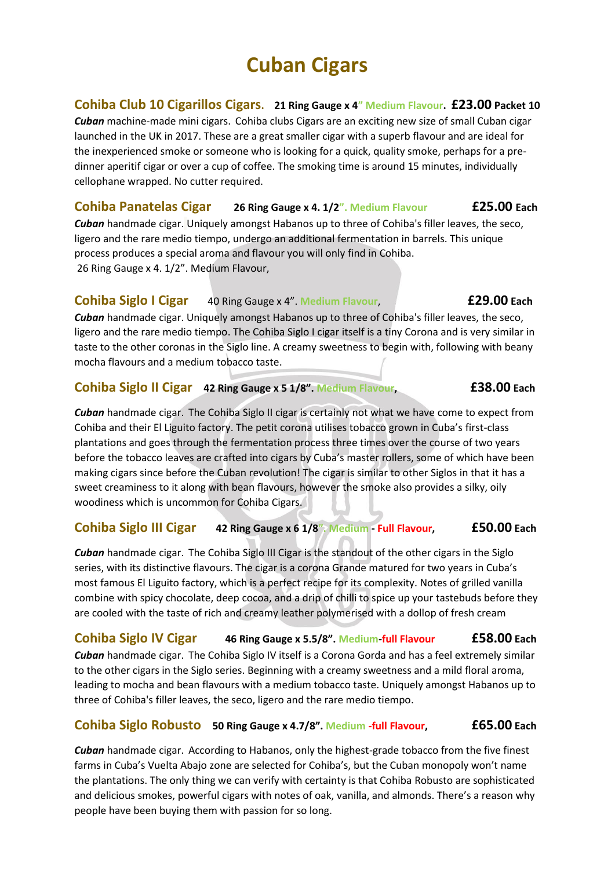**Cohiba Club 10 Cigarillos Cigars. 21 Ring Gauge x 4" Medium Flavour. £23.00 Packet 10**

*Cuban* machine-made mini cigars. Cohiba clubs Cigars are an exciting new size of small Cuban cigar launched in the UK in 2017. These are a great smaller cigar with a superb flavour and are ideal for the inexperienced smoke or someone who is looking for a quick, quality smoke, perhaps for a predinner aperitif cigar or over a cup of coffee. The smoking time is around 15 minutes, individually cellophane wrapped. No cutter required.

## **Cohiba Panatelas Cigar 26 Ring Gauge x 4. 1/2". Medium Flavour £25.00 Each** *Cuban* handmade cigar. Uniquely amongst Habanos up to three of Cohiba's filler leaves, the seco, ligero and the rare medio tiempo, undergo an additional fermentation in barrels. This unique process produces a special aroma and flavour you will only find in Cohiba. 26 Ring Gauge x 4. 1/2". Medium Flavour,

# **Cohiba Siglo I Cigar** 40 Ring Gauge x 4". **Medium Flavour**, **£29.00 Each**

*Cuban* handmade cigar. Uniquely amongst Habanos up to three of Cohiba's filler leaves, the seco, ligero and the rare medio tiempo. The Cohiba Siglo I cigar itself is a tiny Corona and is very similar in taste to the other coronas in the Siglo line. A creamy sweetness to begin with, following with beany mocha flavours and a medium tobacco taste.

### **Cohiba Siglo II Cigar 42 Ring Gauge x 5 1/8". Medium Flavour, £38.00 Each**

*Cuban* handmade cigar. The Cohiba Siglo II cigar is certainly not what we have come to expect from Cohiba and their El Liguito factory. The petit corona utilises tobacco grown in Cuba's first-class plantations and goes through the fermentation process three times over the course of two years before the tobacco leaves are crafted into cigars by Cuba's master rollers, some of which have been making cigars since before the Cuban revolution! The cigar is similar to other Siglos in that it has a sweet creaminess to it along with bean flavours, however the smoke also provides a silky, oily woodiness which is uncommon for Cohiba Cigars.

# **Cohiba Siglo III Cigar 42 Ring Gauge x 6 1/8". Medium - Full Flavour, £50.00 Each**

*Cuban* handmade cigar. The Cohiba Siglo III Cigar is the standout of the other cigars in the Siglo series, with its distinctive flavours. The cigar is a corona Grande matured for two years in Cuba's most famous El Liguito factory, which is a perfect recipe for its complexity. Notes of grilled vanilla combine with spicy chocolate, deep cocoa, and a drip of chilli to spice up your tastebuds before they are cooled with the taste of rich and creamy leather polymerised with a dollop of fresh cream

**Cohiba Siglo IV Cigar 46 Ring Gauge x 5.5/8". Medium-full Flavour £58.00 Each** *Cuban* handmade cigar. The Cohiba Siglo IV itself is a Corona Gorda and has a feel extremely similar to the other cigars in the Siglo series. Beginning with a creamy sweetness and a mild floral aroma, leading to mocha and bean flavours with a medium tobacco taste. Uniquely amongst Habanos up to three of Cohiba's filler leaves, the seco, ligero and the rare medio tiempo.

# **Cohiba Siglo Robusto 50 Ring Gauge x 4.7/8". Medium -full Flavour, £65.00 Each**

*Cuban* handmade cigar. According to Habanos, only the highest-grade tobacco from the five finest farms in Cuba's Vuelta Abajo zone are selected for Cohiba's, but the Cuban monopoly won't name the plantations. The only thing we can verify with certainty is that Cohiba Robusto are sophisticated and delicious smokes, powerful cigars with notes of oak, vanilla, and almonds. There's a reason why people have been buying them with passion for so long.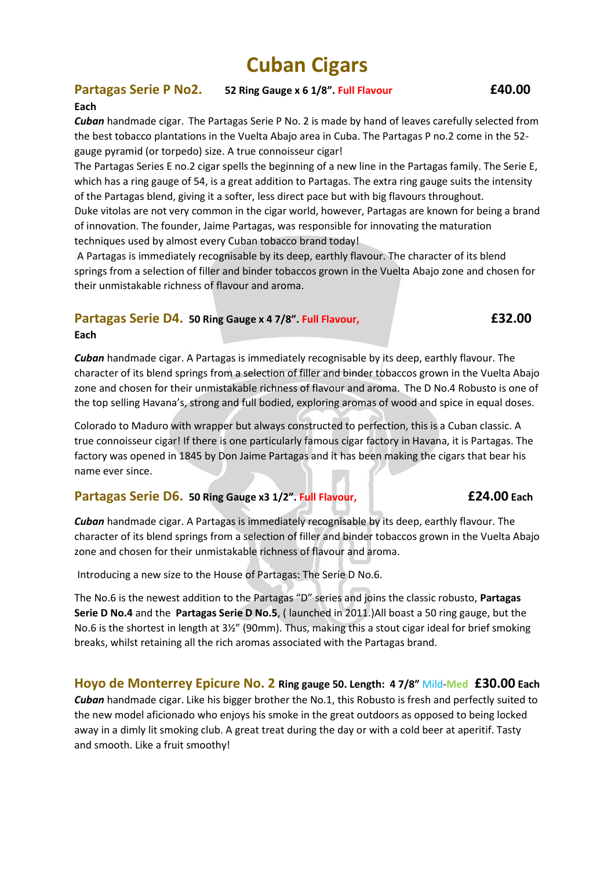### **Partagas Serie P No2. 52 Ring Gauge x 6 1/8". Full Flavour £40.00 Each**

*Cuban* handmade cigar. The Partagas Serie P No. 2 is made by hand of leaves carefully selected from the best tobacco plantations in the Vuelta Abajo area in Cuba. The Partagas P no.2 come in the 52 gauge pyramid (or torpedo) size. A true connoisseur cigar!

The Partagas Series E no.2 cigar spells the beginning of a new line in the Partagas family. The Serie E, which has a ring gauge of 54, is a great addition to Partagas. The extra ring gauge suits the intensity of the Partagas blend, giving it a softer, less direct pace but with big flavours throughout. Duke vitolas are not very common in the cigar world, however, Partagas are known for being a brand of innovation. The founder, Jaime Partagas, was responsible for innovating the maturation techniques used by almost every Cuban tobacco brand today!

A Partagas is immediately recognisable by its deep, earthly flavour. The character of its blend springs from a selection of filler and binder tobaccos grown in the Vuelta Abajo zone and chosen for their unmistakable richness of flavour and aroma.

# **Partagas Serie D4. 50 Ring Gauge x 4 7/8". Full Flavour, £32.00**

**Each** 

*Cuban* handmade cigar. A Partagas is immediately recognisable by its deep, earthly flavour. The character of its blend springs from a selection of filler and binder tobaccos grown in the Vuelta Abajo zone and chosen for their unmistakable richness of flavour and aroma. The D No.4 Robusto is one of the top selling Havana's, strong and full bodied, exploring aromas of wood and spice in equal doses.

Colorado to Maduro with wrapper but always constructed to perfection, this is a Cuban classic. A true connoisseur cigar! If there is one particularly famous cigar factory in Havana, it is Partagas. The factory was opened in 1845 by Don Jaime Partagas and it has been making the cigars that bear his name ever since.

### **Partagas Serie D6. 50 Ring Gauge x3 1/2". Full Flavour, £24.00 Each**

*Cuban* handmade cigar. A Partagas is immediately recognisable by its deep, earthly flavour. The character of its blend springs from a selection of filler and binder tobaccos grown in the Vuelta Abajo zone and chosen for their unmistakable richness of flavour and aroma.

Introducing a new size to the House of Partagas: The Serie D No.6.

The No.6 is the newest addition to the Partagas "D" series and joins the classic robusto, **[Partagas](https://www.cigar-club.com/shop/cigars/regions/havanas/partagas-cigars/partagas-serie-d-no-4-sbn/)  [Serie D No.4](https://www.cigar-club.com/shop/cigars/regions/havanas/partagas-cigars/partagas-serie-d-no-4-sbn/)** and the **[Partagas Serie D No.5](https://www.cigar-club.com/shop/cigars/regions/havanas/partagas-cigars/partagas-serie-d-no-5-2/)**, ( launched in 2011.)All boast a 50 ring gauge, but the No.6 is the shortest in length at 3½" (90mm). Thus, making this a stout cigar ideal for brief smoking breaks, whilst retaining all the rich aromas associated with the Partagas brand.

**Hoyo de Monterrey Epicure No. 2 Ring gauge 50. Length: 4 7/8"** Mild-**Med £30.00 Each** *Cuban* handmade cigar. Like his bigger brother the No.1, this Robusto is fresh and perfectly suited to the new model aficionado who enjoys his smoke in the great outdoors as opposed to being locked away in a dimly lit smoking club. A great treat during the day or with a cold beer at aperitif. Tasty and smooth. Like a fruit smoothy!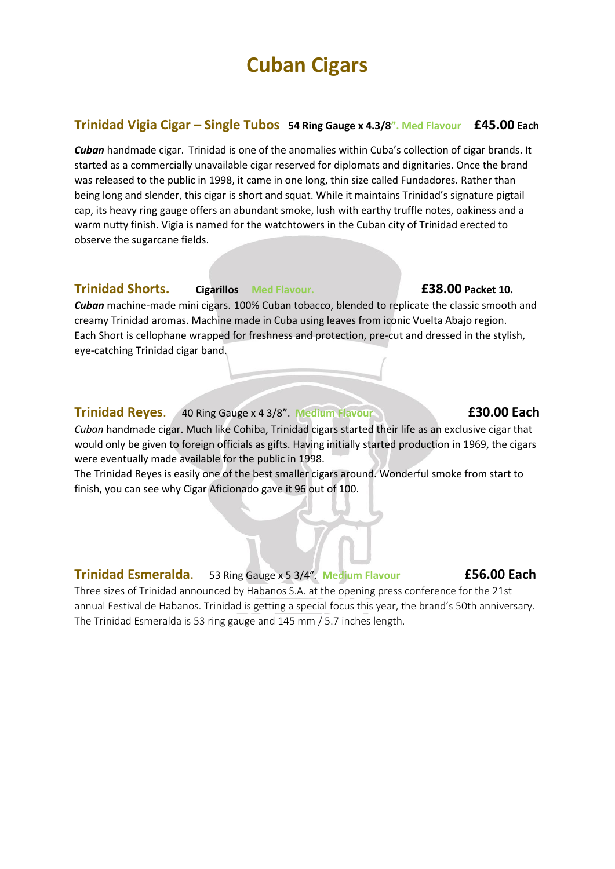### **Trinidad Vigia Cigar – Single Tubos 54 Ring Gauge x 4.3/8". Med Flavour £45.00 Each**

*Cuban* handmade cigar. Trinidad is one of the anomalies within Cuba's collection of cigar brands. It started as a commercially unavailable cigar reserved for diplomats and dignitaries. Once the brand was released to the public in 1998, it came in one long, thin size called Fundadores. Rather than being long and slender, this cigar is short and squat. While it maintains Trinidad's signature pigtail cap, its heavy ring gauge offers an abundant smoke, lush with earthy truffle notes, oakiness and a warm nutty finish. Vigia is named for the watchtowers in the Cuban city of Trinidad erected to observe the sugarcane fields.

#### **Trinidad Shorts. Cigarillos Med Flavour. £38.00 Packet 10.**

*Cuban* machine-made mini cigars. 100% Cuban tobacco, blended to replicate the classic smooth and creamy Trinidad aromas. Machine made in Cuba using leaves from iconic Vuelta Abajo region. Each Short is cellophane wrapped for freshness and protection, pre-cut and dressed in the stylish, eye-catching Trinidad cigar band.

#### **Trinidad Reyes**. 40 Ring Gauge x 4 3/8". **Medium Flavour £30.00 Each**

*Cuban* handmade cigar. Much like Cohiba, Trinidad cigars started their life as an exclusive cigar that would only be given to foreign officials as gifts. Having initially started production in 1969, the cigars were eventually made available for the public in 1998.

The Trinidad Reyes is easily one of the best smaller cigars around. Wonderful smoke from start to finish, you can see why Cigar Aficionado gave it 96 out of 100.

#### **Trinidad Esmeralda**. 53 Ring Gauge x 5 3/4". **Medium Flavour £56.00 Each**

Three sizes of Trinidad announced by Habanos S.A. at the opening press conference for the 21st annual Festival de Habanos. Trinidad is getting a special focus this year, the brand's 50th anniversary. The Trinidad Esmeralda is 53 ring gauge and 145 mm / 5.7 inches length.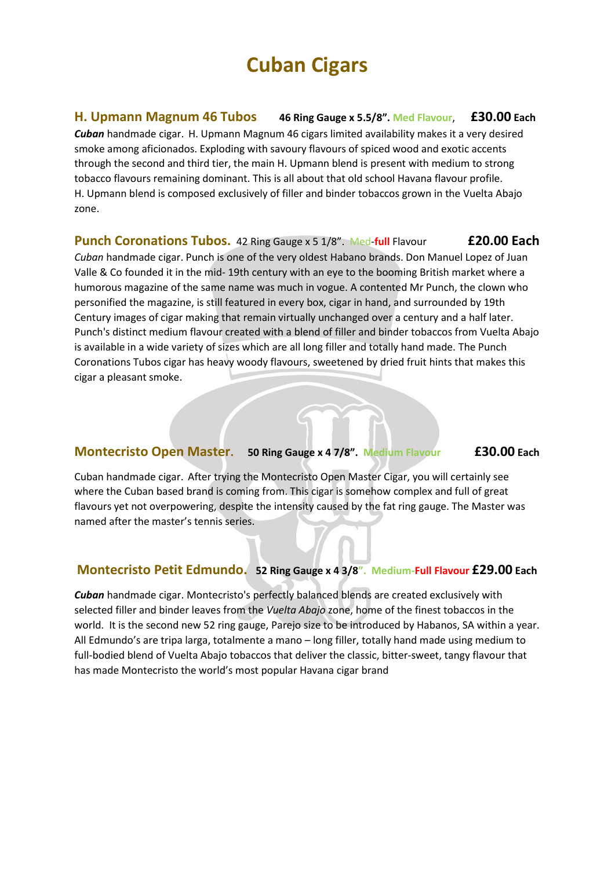## **H. Upmann Magnum 46 Tubos 46 Ring Gauge x 5.5/8". Med Flavour**, **£30.00 Each**

*Cuban* handmade cigar. H. Upmann Magnum 46 cigars limited availability makes it a very desired smoke among aficionados. Exploding with savoury flavours of spiced wood and exotic accents through the second and third tier, the main H. Upmann blend is present with medium to strong tobacco flavours remaining dominant. This is all about that old school Havana flavour profile. H. Upmann blend is composed exclusively of filler and binder tobaccos grown in the Vuelta Abajo zone.

## **Punch Coronations Tubos.** 42 Ring Gauge x 5 1/8". Med-**full** Flavour **£20.00 Each**

*Cuban* handmade cigar. Punch is one of the very oldest Habano brands. Don Manuel Lopez of Juan Valle & Co founded it in the mid- 19th century with an eye to the booming British market where a humorous magazine of the same name was much in vogue. A contented Mr Punch, the clown who personified the magazine, is still featured in every box, cigar in hand, and surrounded by 19th Century images of cigar making that remain virtually unchanged over a century and a half later. Punch's distinct medium flavour created with a blend of filler and binder tobaccos from Vuelta Abajo is available in a wide variety of sizes which are all long filler and totally hand made. The Punch Coronations Tubos cigar has heavy woody flavours, sweetened by dried fruit hints that makes this cigar a pleasant smoke.

### **Montecristo Open Master. 50 Ring Gauge x 4 7/8". Medium Flavour £30.00 Each**

Cuban handmade cigar. After trying the Montecristo Open Master Cigar, you will certainly see where the Cuban based brand is coming from. This cigar is somehow complex and full of great flavours yet not overpowering, despite the intensity caused by the fat ring gauge. The Master was named after the master's tennis series.

### **Montecristo Petit Edmundo. 52 Ring Gauge x 4 3/8". Medium-Full Flavour £29.00 Each**

*Cuban* handmade cigar. Montecristo's perfectly balanced blends are created exclusively with selected filler and binder leaves from the *Vuelta Abajo* zone, home of the finest tobaccos in the world. It is the second new 52 ring gauge, Parejo size to be introduced by Habanos, SA within a year. All Edmundo's are tripa larga, totalmente a mano – long filler, totally hand made using medium to full-bodied blend of Vuelta Abajo tobaccos that deliver the classic, bitter-sweet, tangy flavour that has made Montecristo the world's most popular Havana cigar brand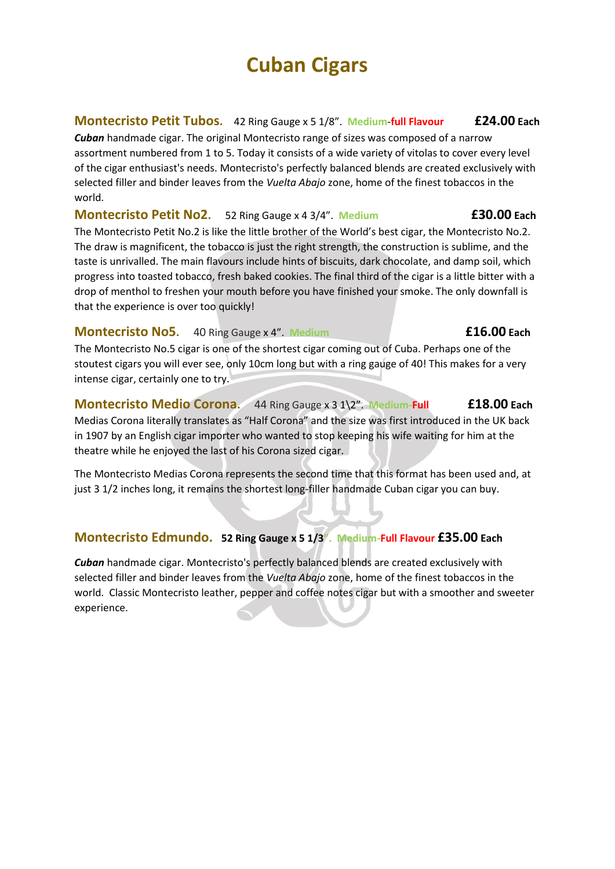# **Montecristo Petit Tubos.** 42 Ring Gauge x 5 1/8". **Medium**-**full Flavour £24.00 Each**

*Cuban* handmade cigar. The original Montecristo range of sizes was composed of a narrow assortment numbered from 1 to 5. Today it consists of a wide variety of vitolas to cover every level of the cigar enthusiast's needs. Montecristo's perfectly balanced blends are created exclusively with selected filler and binder leaves from the *Vuelta Abajo* zone, home of the finest tobaccos in the world.

### **Montecristo Petit No2.** 52 Ring Gauge x 4 3/4". **Medium £30.00 Each**

The Montecristo Petit No.2 is like the little brother of the World's best cigar, the Montecristo No.2. The draw is magnificent, the tobacco is just the right strength, the construction is sublime, and the taste is unrivalled. The main flavours include hints of biscuits, dark chocolate, and damp soil, which progress into toasted tobacco, fresh baked cookies. The final third of the cigar is a little bitter with a drop of menthol to freshen your mouth before you have finished your smoke. The only downfall is that the experience is over too quickly!

# **Montecristo No5.** 40 Ring Gauge x 4". **Medium £16.00 Each**

The Montecristo No.5 cigar is one of the shortest cigar coming out of Cuba. Perhaps one of the stoutest cigars you will ever see, only 10cm long but with a ring gauge of 40! This makes for a very intense cigar, certainly one to try.

## **Montecristo Medio Corona.** 44 Ring Gauge x 3 1\2". **Medium-Full £18.00 Each**  Medias Corona literally translates as "Half Corona" and the size was first introduced in the UK back in 1907 by an English cigar importer who wanted to stop keeping his wife waiting for him at the theatre while he enjoyed the last of his Corona sized cigar.

The Montecristo Medias Corona represents the second time that this format has been used and, at just 3 1/2 inches long, it remains the shortest long-filler handmade Cuban cigar you can buy.

# **Montecristo Edmundo. 52 Ring Gauge x 5 1/3". Medium-Full Flavour £35.00 Each**

*Cuban* handmade cigar. Montecristo's perfectly balanced blends are created exclusively with selected filler and binder leaves from the *Vuelta Abajo* zone, home of the finest tobaccos in the world. Classic Montecristo leather, pepper and coffee notes cigar but with a smoother and sweeter experience.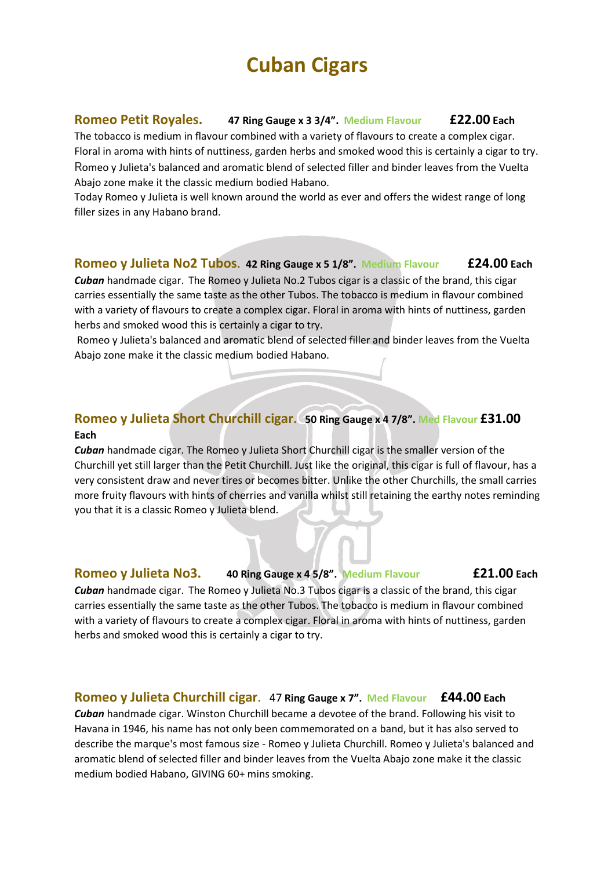### **Romeo Petit Royales. 47 Ring Gauge x 3 3/4". Medium Flavour £22.00 Each**

The tobacco is medium in flavour combined with a variety of flavours to create a complex cigar. Floral in aroma with hints of nuttiness, garden herbs and smoked wood this is certainly a cigar to try. Romeo y Julieta's balanced and aromatic blend of selected filler and binder leaves from the Vuelta Abajo zone make it the classic medium bodied Habano.

Today Romeo y Julieta is well known around the world as ever and offers the widest range of long filler sizes in any Habano brand.

### **Romeo y Julieta No2 Tubos. 42 Ring Gauge x 5 1/8". Medium Flavour £24.00 Each**

*Cuban* handmade cigar. The Romeo y Julieta No.2 Tubos cigar is a classic of the brand, this cigar carries essentially the same taste as the other Tubos. The tobacco is medium in flavour combined with a variety of flavours to create a complex cigar. Floral in aroma with hints of nuttiness, garden herbs and smoked wood this is certainly a cigar to try.

Romeo y Julieta's balanced and aromatic blend of selected filler and binder leaves from the Vuelta Abajo zone make it the classic medium bodied Habano.

# **Romeo y Julieta Short Churchill cigar. 50 Ring Gauge x 4 7/8". Med Flavour £31.00 Each**

*Cuban* handmade cigar. The Romeo y Julieta Short Churchill cigar is the smaller version of the Churchill yet still larger than the Petit Churchill. Just like the original, this cigar is full of flavour, has a very consistent draw and never tires or becomes bitter. Unlike the other Churchills, the small carries more fruity flavours with hints of cherries and vanilla whilst still retaining the earthy notes reminding you that it is a classic Romeo y Julieta blend.

### **Romeo y Julieta No3. 40 Ring Gauge x 4 5/8". Medium Flavour £21.00 Each**

*Cuban* handmade cigar. The Romeo y Julieta No.3 Tubos cigar is a classic of the brand, this cigar carries essentially the same taste as the other Tubos. The tobacco is medium in flavour combined with a variety of flavours to create a complex cigar. Floral in aroma with hints of nuttiness, garden herbs and smoked wood this is certainly a cigar to try.

#### **Romeo y Julieta Churchill cigar.** 47 **Ring Gauge x 7". Med Flavour £44.00 Each**

*Cuban* handmade cigar. Winston Churchill became a devotee of the brand. Following his visit to Havana in 1946, his name has not only been commemorated on a band, but it has also served to describe the marque's most famous size - Romeo y Julieta Churchill. Romeo y Julieta's balanced and aromatic blend of selected filler and binder leaves from the Vuelta Abajo zone make it the classic medium bodied Habano, GIVING 60+ mins smoking.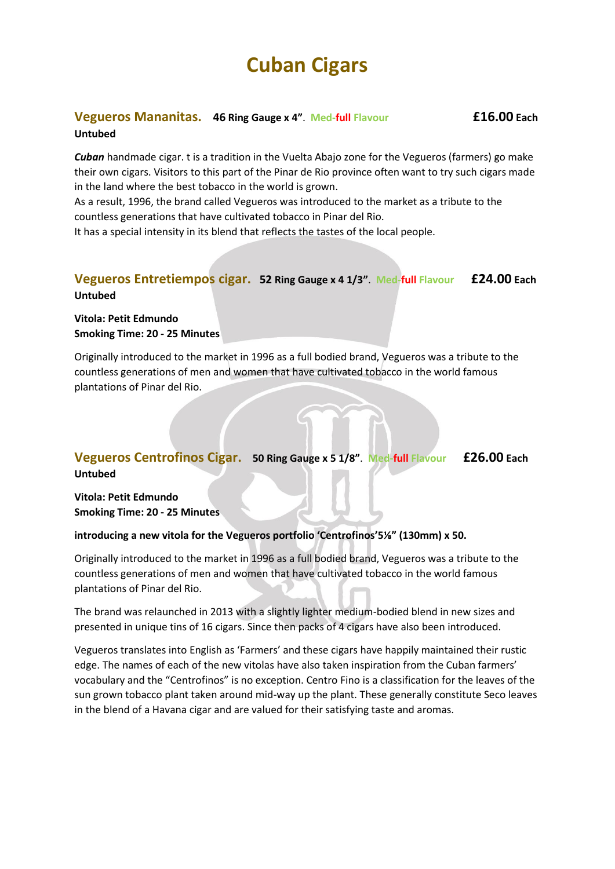#### **Vegueros Mananitas. 46 Ring Gauge x 4"**. **Med-full Flavour £16.00 Each Untubed**

*Cuban* handmade cigar. t is a tradition in the Vuelta Abajo zone for the Vegueros (farmers) go make their own cigars. Visitors to this part of the Pinar de Rio province often want to try such cigars made in the land where the best tobacco in the world is grown.

As a result, 1996, the brand called Vegueros was introduced to the market as a tribute to the countless generations that have cultivated tobacco in Pinar del Rio.

It has a special intensity in its blend that reflects the tastes of the local people.

## **Vegueros Entretiempos cigar. 52 Ring Gauge x 4 1/3"**. **Med-full Flavour £24.00 Each Untubed**

**Vitola: Petit Edmundo Smoking Time: 20 - 25 Minutes**

Originally introduced to the market in 1996 as a full bodied brand, Vegueros was a tribute to the countless generations of men and women that have cultivated tobacco in the world famous plantations of Pinar del Rio.

## **Vegueros Centrofinos Cigar. 50 Ring Gauge x 5 1/8"**. **Med-full Flavour £26.00 Each Untubed**

**Vitola: Petit Edmundo Smoking Time: 20 - 25 Minutes**

#### **introducing a new vitola for the Vegueros portfolio 'Centrofinos'5⅛" (130mm) x 50.**

Originally introduced to the market in 1996 as a full bodied brand, Vegueros was a tribute to the countless generations of men and women that have cultivated tobacco in the world famous plantations of Pinar del Rio.

The brand was relaunched in 2013 with a slightly lighter medium-bodied blend in new sizes and presented in unique tins of 16 cigars. Since then packs of 4 cigars have also been introduced.

Vegueros translates into English as 'Farmers' and these cigars have happily maintained their rustic edge. The names of each of the new vitolas have also taken inspiration from the Cuban farmers' vocabulary and the "Centrofinos" is no exception. Centro Fino is a classification for the leaves of the sun grown tobacco plant taken around mid-way up the plant. These generally constitute Seco leaves in the blend of a Havana cigar and are valued for their satisfying taste and aromas.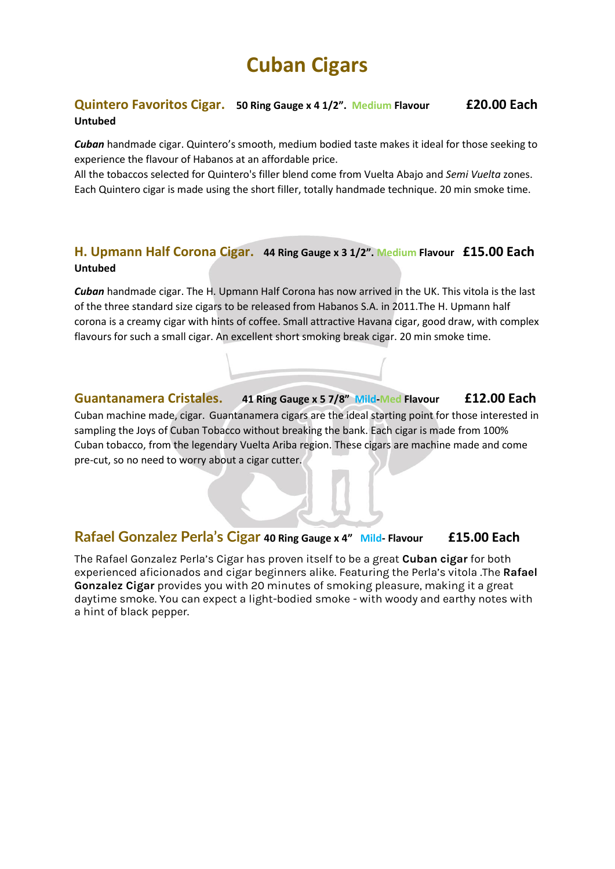# **Quintero Favoritos Cigar. 50 Ring Gauge x 4 1/2". Medium Flavour £20.00 Each Untubed**

*Cuban* handmade cigar. Quintero's smooth, medium bodied taste makes it ideal for those seeking to experience the flavour of Habanos at an affordable price.

All the tobaccos selected for Quintero's filler blend come from Vuelta Abajo and *Semi Vuelta* zones. Each Quintero cigar is made using the short filler, totally handmade technique. 20 min smoke time.

# **H. Upmann Half Corona Cigar. 44 Ring Gauge x 3 1/2". Medium Flavour £15.00 Each Untubed**

*Cuban* handmade cigar. The H. Upmann Half Corona has now arrived in the UK. This vitola is the last of the three standard size cigars to be released from Habanos S.A. in 2011.The H. Upmann half corona is a creamy cigar with hints of coffee. Small attractive Havana cigar, good draw, with complex flavours for such a small cigar. An excellent short smoking break cigar. 20 min smoke time.

**Guantanamera Cristales. 41 Ring Gauge x 5 7/8" Mild-Med Flavour £12.00 Each**  Cuban machine made, cigar. Guantanamera cigars are the ideal starting point for those interested in sampling the Joys of Cuban Tobacco without breaking the bank. Each cigar is made from 100% Cuban tobacco, from the legendary Vuelta Ariba region. These cigars are machine made and come pre-cut, so no need to worry about a cigar cutter.

# **Rafael Gonzalez Perla's Cigar 40 Ring Gauge x 4" Mild- Flavour £15.00 Each**

The Rafael Gonzalez Perla's Cigar has proven itself to be a great **[Cuban cigar](https://www.egmcigars.com/)** for both experienced aficionados and cigar beginners alike. Featuring the Perla's vitola .The **[Rafael](https://www.egmcigars.com/collections/rafael-gonzalez)  [Gonzalez Cigar](https://www.egmcigars.com/collections/rafael-gonzalez)** provides you with 20 minutes of smoking pleasure, making it a great daytime smoke. You can expect a light-bodied smoke - with woody and earthy notes with a hint of black pepper.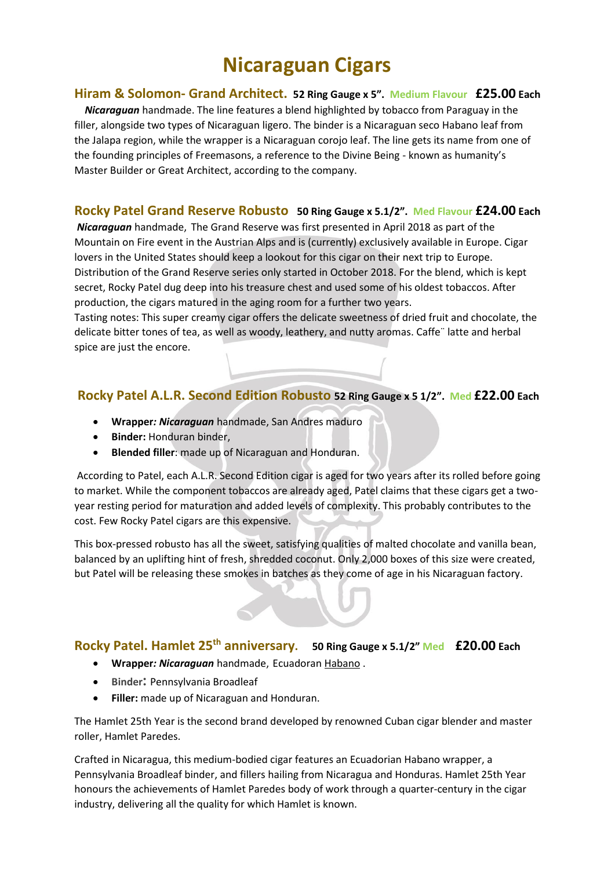### **Hiram & Solomon- Grand Architect. 52 Ring Gauge x 5". Medium Flavour £25.00 Each**

*Nicaraguan* handmade. The line features a blend highlighted by tobacco from Paraguay in the filler, alongside two types of Nicaraguan ligero. The binder is a Nicaraguan seco Habano leaf from the Jalapa region, while the wrapper is a Nicaraguan corojo leaf. The line gets its name from one of the founding principles of Freemasons, a reference to the Divine Being - known as humanity's Master Builder or Great Architect, according to the company.

## **Rocky Patel Grand Reserve Robusto 50 Ring Gauge x 5.1/2". Med Flavour £24.00 Each**

*Nicaraguan* handmade, The Grand Reserve was first presented in April 2018 as part of the Mountain on Fire event in the Austrian Alps and is (currently) exclusively available in Europe. Cigar lovers in the United States should keep a lookout for this cigar on their next trip to Europe. Distribution of the Grand Reserve series only started in October 2018. For the blend, which is kept secret, Rocky Patel dug deep into his treasure chest and used some of his oldest tobaccos. After production, the cigars matured in the aging room for a further two years.

Tasting notes: This super creamy cigar offers the delicate sweetness of dried fruit and chocolate, the delicate bitter tones of tea, as well as woody, leathery, and nutty aromas. Caffe¨ latte and herbal spice are just the encore.

# **Rocky Patel A.L.R. Second Edition Robusto 52 Ring Gauge x 5 1/2". Med £22.00 Each**

- **Wrapper***: Nicaraguan* handmade, San Andres maduro
- **Binder:** Honduran binder,
- **Blended filler**: made up of Nicaraguan and Honduran.

According to Patel, each A.L.R. Second Edition cigar is aged for two years after its rolled before going to market. While the component tobaccos are already aged, Patel claims that these cigars get a twoyear resting period for maturation and added levels of complexity. This probably contributes to the cost. Few Rocky Patel cigars are this expensive.

This box-pressed robusto has all the sweet, satisfying qualities of malted chocolate and vanilla bean, balanced by an uplifting hint of fresh, shredded coconut. Only 2,000 boxes of this size were created, but Patel will be releasing these smokes in batches as they come of age [in his Nicaraguan factory.](https://www.cigaraficionado.com/article/controlling-interest-17598)

## **Rocky Patel. Hamlet 25th anniversary. 50 Ring Gauge x 5.1/2" Med £20.00 Each**

- **Wrapper***: Nicaraguan* handmade, Ecuadoran [Habano](https://blindmanspuff.com/tag/habano/) .
- **Binder:** Pennsylvania Broadleaf
- **Filler:** made up of Nicaraguan and Honduran.

The Hamlet 25th Year is the second brand developed by renowned Cuban cigar blender and master roller, Hamlet Paredes.

Crafted in Nicaragua, this medium-bodied cigar features an Ecuadorian Habano wrapper, a Pennsylvania Broadleaf binder, and fillers hailing from Nicaragua and Honduras. Hamlet 25th Year honours the achievements of Hamlet Paredes body of work through a quarter-century in the cigar industry, delivering all the quality for which Hamlet is known.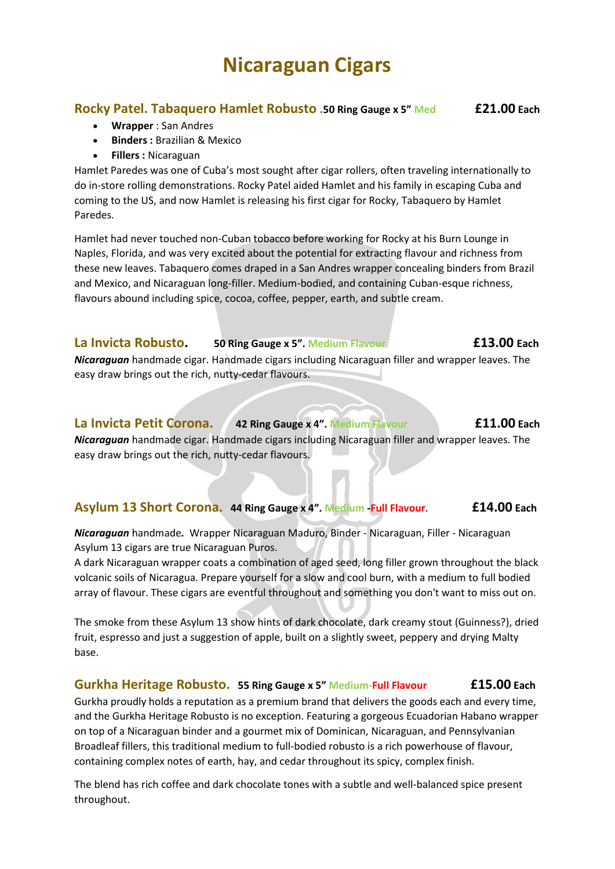## **Rocky Patel. Tabaquero Hamlet Robusto .50 Ring Gauge x 5" Med £21.00 Each**

- **Wrapper** : San Andres
- **Binders :** Brazilian & Mexico
- **Fillers :** Nicaraguan

Hamlet Paredes was one of Cuba's most sought after cigar rollers, often traveling internationally to do in-store rolling demonstrations. Rocky Patel aided Hamlet and his family in escaping Cuba and coming to the US, and now Hamlet is releasing his first cigar for Rocky, Tabaquero by Hamlet Paredes.

Hamlet had never touched non-Cuban tobacco before working for Rocky at his Burn Lounge in Naples, Florida, and was very excited about the potential for extracting flavour and richness from these new leaves. Tabaquero comes draped in a San Andres wrapper concealing binders from Brazil and Mexico, and Nicaraguan long-filler. Medium-bodied, and containing Cuban-esque richness, flavours abound including spice, cocoa, coffee, pepper, earth, and subtle cream.

# **La Invicta Robusto. 50 Ring Gauge x 5". Medium Flavour £13.00 Each**

*Nicaraguan* handmade cigar. Handmade cigars including Nicaraguan filler and wrapper leaves. The easy draw brings out the rich, nutty-cedar flavours.

# **La Invicta Petit Corona. 42 Ring Gauge x 4". Medium Flavour £11.00 Each**

*Nicaraguan* handmade cigar. Handmade cigars including Nicaraguan filler and wrapper leaves. The easy draw brings out the rich, nutty-cedar flavours.

# **Asylum 13 Short Corona. 44 Ring Gauge x 4". Medium -Full Flavour**. **£14.00 Each**

*Nicaraguan* handmade*.* Wrapper Nicaraguan Maduro, Binder - Nicaraguan, Filler - Nicaraguan Asylum 13 cigars are true Nicaraguan Puros.

A dark Nicaraguan wrapper coats a combination of aged seed, long filler grown throughout the black volcanic soils of Nicaragua. Prepare yourself for a slow and cool burn, with a medium to full bodied array of flavour. These cigars are eventful throughout and something you don't want to miss out on.

The smoke from these Asylum 13 show hints of dark chocolate, dark creamy stout (Guinness?), dried fruit, espresso and just a suggestion of apple, built on a slightly sweet, peppery and drying Malty base.

# **Gurkha Heritage Robusto. 55 Ring Gauge x 5" Medium-Full Flavour £15.00 Each**

Gurkha proudly holds a reputation as a premium brand that delivers the goods each and every time, and the Gurkha Heritage Robusto is no exception. Featuring a gorgeous Ecuadorian Habano wrapper on top of a Nicaraguan binder and a gourmet mix of Dominican, Nicaraguan, and Pennsylvanian Broadleaf fillers, this traditional medium to full-bodied robusto is a rich powerhouse of flavour, containing complex notes of earth, hay, and cedar throughout its spicy, complex finish.

The blend has rich coffee and dark chocolate tones with a subtle and well-balanced spice present throughout.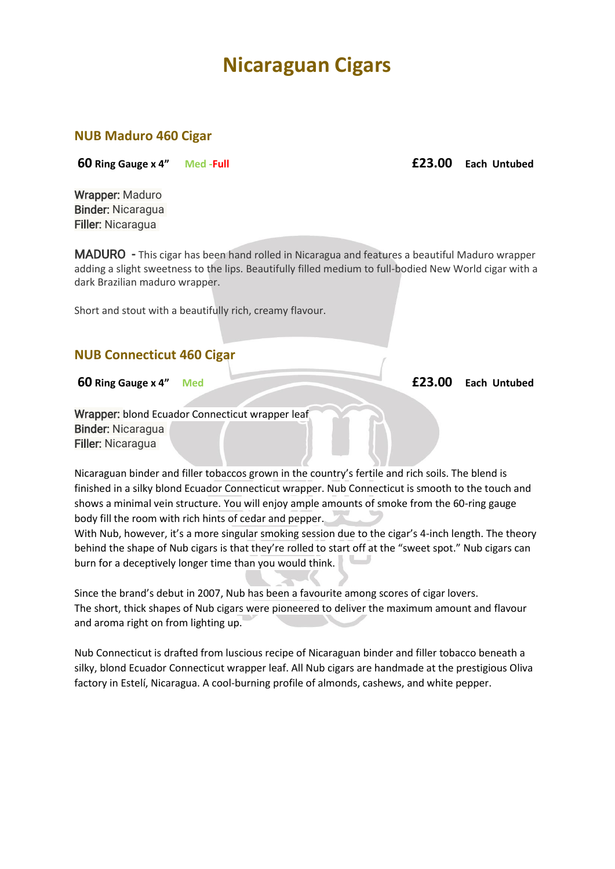### **NUB Maduro 460 Cigar**

**60 Ring Gauge x 4" Med -Full £23.00 Each Untubed**

Wrapper: Maduro Binder: Nicaragua Filler: Nicaragua

MADURO - This cigar has been hand rolled in Nicaragua and features a beautiful Maduro wrapper adding a slight sweetness to the lips. Beautifully filled medium to full-bodied New World cigar with a dark Brazilian maduro wrapper.

Short and stout with a beautifully rich, creamy flavour.

## **NUB Connecticut 460 Cigar**

Wrapper: blond Ecuador Connecticut wrapper leaf Binder: Nicaragua Filler: Nicaragua

Nicaraguan binder and filler tobaccos grown in the country's fertile and rich soils. The blend is finished in a silky blond Ecuador Connecticut wrapper. Nub Connecticut is smooth to the touch and shows a minimal vein structure. You will enjoy ample amounts of smoke from the 60-ring gauge body fill the room with rich hints of cedar and pepper.

With Nub, however, it's a more singular smoking session due to the cigar's 4-inch length. The theory behind the shape of Nub cigars is that they're rolled to start off at the "sweet spot." Nub cigars can burn for a deceptively longer time than you would think.

Since the brand's debut in 2007, Nub has been a favourite among scores of cigar lovers. The short, thick shapes of Nub cigars were pioneered to deliver the maximum amount and flavour and aroma right on from lighting up.

Nub Connecticut is drafted from luscious recipe of Nicaraguan binder and filler tobacco beneath a silky, blond Ecuador Connecticut wrapper leaf. All Nub cigars are handmade at the prestigious Oliva factory in Estelí, Nicaragua. A cool-burning profile of almonds, cashews, and white pepper.

**60 Ring Gauge x 4" Med £23.00 Each Untubed**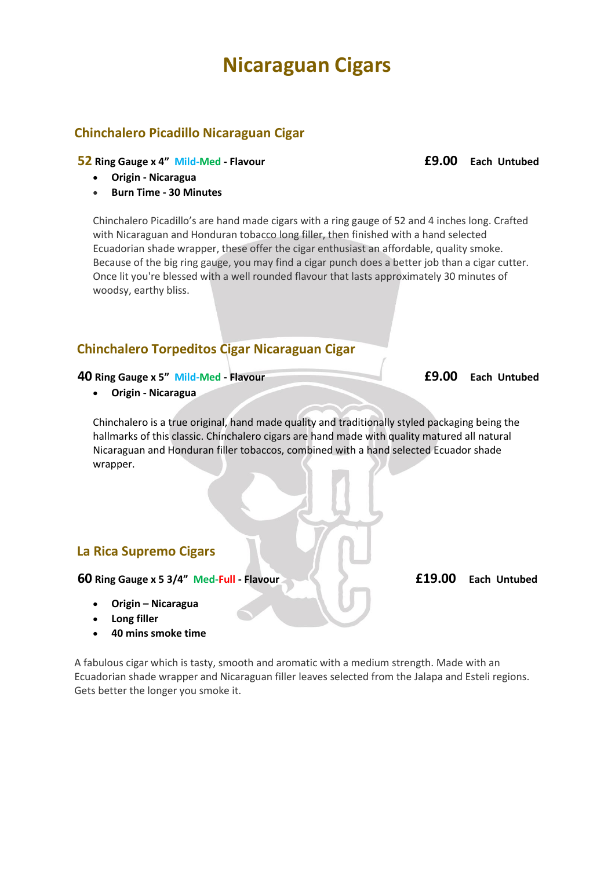# **Chinchalero Picadillo Nicaraguan Cigar**

#### **52 Ring Gauge x 4" Mild-Med - Flavour £9.00 Each Untubed**

- **Origin - Nicaragua**
- **Burn Time - 30 Minutes**

Chinchalero Picadillo's are hand made cigars with a ring gauge of 52 and 4 inches long. Crafted with Nicaraguan and Honduran tobacco long filler, then finished with a hand selected Ecuadorian shade wrapper, these offer the cigar enthusiast an affordable, quality smoke. Because of the big ring gauge, you may find a cigar punch does a better job than a cigar cutter. Once lit you're blessed with a well rounded flavour that lasts approximately 30 minutes of woodsy, earthy bliss.

## **Chinchalero Torpeditos Cigar Nicaraguan Cigar**

#### **40 Ring Gauge x 5" Mild-Med - Flavour £9.00 Each Untubed**

• **Origin - Nicaragua**

Chinchalero is a true original, hand made quality and traditionally styled packaging being the hallmarks of this classic. Chinchalero cigars are hand made with quality matured all natural Nicaraguan and Honduran filler tobaccos, combined with a hand selected Ecuador shade wrapper.

### **La Rica Supremo Cigars**

**60 Ring Gauge x 5 3/4" Med-Full - Flavour £19.00 Each Untubed**

- **Origin – Nicaragua**
- **Long filler**
- **40 mins smoke time**

A fabulous cigar which is tasty, smooth and aromatic with a medium strength. Made with an Ecuadorian shade wrapper and Nicaraguan filler leaves selected from the Jalapa and Esteli regions. Gets better the longer you smoke it.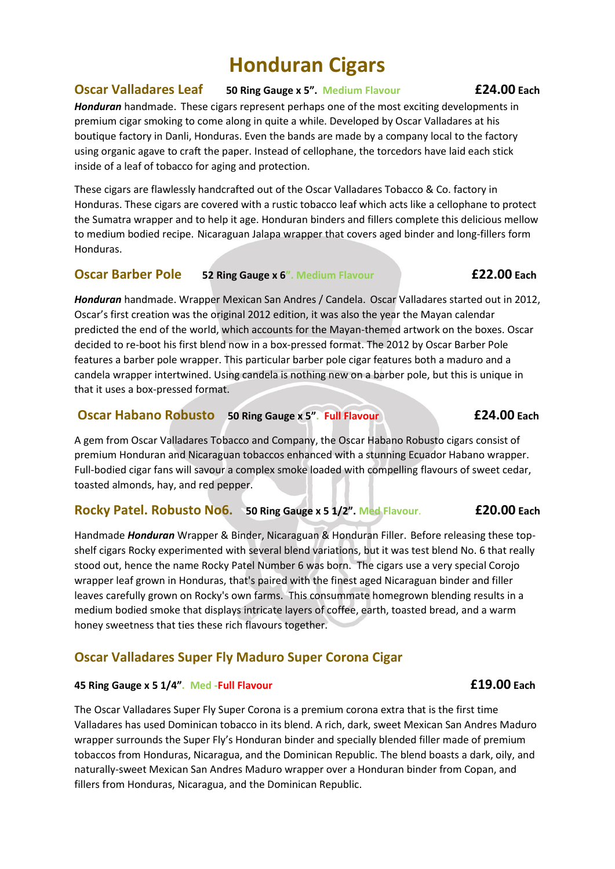### **Oscar Valladares Leaf 50 Ring Gauge x 5". Medium Flavour £24.00 Each**

*Honduran* handmade. These cigars represent perhaps one of the most exciting developments in premium cigar smoking to come along in quite a while. Developed by Oscar Valladares at his boutique factory in Danli, Honduras. Even the bands are made by a company local to the factory using organic agave to craft the paper. Instead of cellophane, the torcedors have laid each stick inside of a leaf of tobacco for aging and protection.

These cigars are flawlessly handcrafted out of the Oscar Valladares Tobacco & Co. factory in Honduras. These cigars are covered with a rustic tobacco leaf which acts like a cellophane to protect the Sumatra wrapper and to help it age. Honduran binders and fillers complete this delicious mellow to medium bodied recipe. Nicaraguan Jalapa wrapper that covers aged binder and long-fillers form Honduras.

### **Oscar Barber Pole 52 Ring Gauge x 6". Medium Flavour £22.00 Each**

*Honduran* handmade. Wrapper Mexican San Andres / Candela. Oscar Valladares started out in 2012, Oscar's first creation was the original 2012 edition, it was also the year the Mayan calendar predicted the end of the world, which accounts for the Mayan-themed artwork on the boxes. Oscar decided to re-boot his first blend now in a box-pressed format. The 2012 by Oscar Barber Pole features a barber pole wrapper. This particular barber pole cigar features both a maduro and a candela wrapper intertwined. Using candela is nothing new on a barber pole, but this is unique in that it uses a box-pressed format.

### **Oscar Habano Robusto 50 Ring Gauge x 5". Full Flavour £24.00 Each**

A gem from Oscar Valladares Tobacco and Company, the Oscar Habano Robusto cigars consist of premium Honduran and Nicaraguan tobaccos enhanced with a stunning Ecuador Habano wrapper. Full-bodied cigar fans will savour a complex smoke loaded with compelling flavours of sweet cedar, toasted almonds, hay, and red pepper.

## **Rocky Patel. Robusto No6. 50 Ring Gauge x 5 1/2". Med Flavour**. **£20.00 Each**

Handmade *Honduran* Wrapper & Binder, Nicaraguan & Honduran Filler. Before releasing these topshelf cigars Rocky experimented with several blend variations, but it was test blend No. 6 that really stood out, hence the name Rocky Patel Number 6 was born. The cigars use a very special Corojo wrapper leaf grown in Honduras, that's paired with the finest aged Nicaraguan binder and filler leaves carefully grown on Rocky's own farms. This consummate homegrown blending results in a medium bodied smoke that displays intricate layers of coffee, earth, toasted bread, and a warm honey sweetness that ties these rich flavours together.

# **Oscar Valladares Super Fly Maduro Super Corona Cigar**

### **45 Ring Gauge x 5 1/4". Med -Full Flavour £19.00 Each**

The Oscar Valladares Super Fly Super Corona is a premium corona extra that is the first time Valladares has used Dominican tobacco in its blend. A rich, dark, sweet Mexican San Andres Maduro wrapper surrounds the Super Fly's Honduran binder and specially blended filler made of premium tobaccos from Honduras, Nicaragua, and the Dominican Republic. The blend boasts a dark, oily, and naturally-sweet Mexican San Andres Maduro wrapper over a Honduran binder from Copan, and fillers from Honduras, Nicaragua, and the Dominican Republic.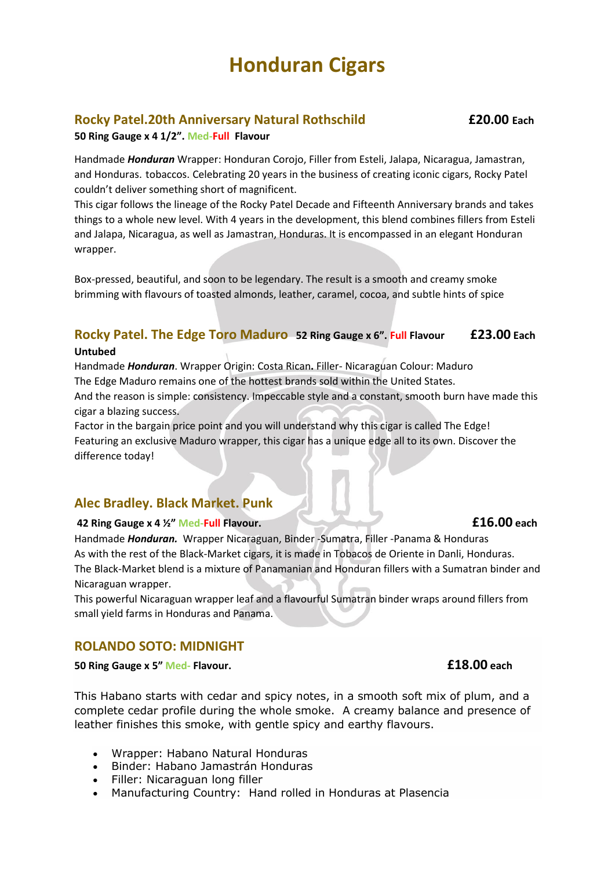## **Rocky Patel.20th Anniversary Natural Rothschild £20.00 Each**

#### **50 Ring Gauge x 4 1/2". Med-Full Flavour**

Handmade *Honduran* Wrapper: Honduran Corojo, Filler from Esteli, Jalapa, Nicaragua, Jamastran, and Honduras. tobaccos. Celebrating 20 years in the business of creating iconic cigars, Rocky Patel couldn't deliver something short of magnificent.

This cigar follows the lineage of the Rocky Patel Decade and Fifteenth Anniversary brands and takes things to a whole new level. With 4 years in the development, this blend combines fillers from Esteli and Jalapa, Nicaragua, as well as Jamastran, Honduras. It is encompassed in an elegant Honduran wrapper.

Box-pressed, beautiful, and soon to be legendary. The result is a smooth and creamy smoke brimming with flavours of toasted almonds, leather, caramel, cocoa, and subtle hints of spice

# **Rocky Patel. The Edge Toro Maduro 52 Ring Gauge x 6". Full Flavour £23.00 Each**

#### **Untubed**

Handmade *Honduran*. Wrapper Origin: Costa Rican**.** Filler- Nicaraguan Colour: Maduro The Edge Maduro remains one of the hottest brands sold within the United States. And the reason is simple: consistency. Impeccable style and a constant, smooth burn have made this

cigar a blazing success.

Factor in the bargain price point and you will understand why this cigar is called The Edge! Featuring an exclusive Maduro wrapper, this cigar has a unique edge all to its own. Discover the difference today!

### **Alec Bradley. Black Market. Punk**

### **42 Ring Gauge x 4 ½" Med-Full Flavour. £16.00 each**

Handmade *Honduran.* Wrapper Nicaraguan, Binder -Sumatra, Filler -Panama & Honduras As with the rest of the Black-Market cigars, it is made in Tobacos de Oriente in Danli, Honduras. The Black-Market blend is a mixture of Panamanian and Honduran fillers with a Sumatran binder and Nicaraguan wrapper.

This powerful Nicaraguan wrapper leaf and a flavourful Sumatran binder wraps around fillers from small yield farms in Honduras and Panama.

### **ROLANDO SOTO: MIDNIGHT**

#### **50 Ring Gauge x 5" Med- Flavour. £18.00 each**

This Habano starts with cedar and spicy notes, in a smooth soft mix of plum, and a complete cedar profile during the whole smoke. A creamy balance and presence of leather finishes this smoke, with gentle spicy and earthy flavours.

- Wrapper: Habano Natural Honduras
- Binder: Habano Jamastrán Honduras
- Filler: Nicaraguan long filler
- Manufacturing Country: Hand rolled in Honduras at Plasencia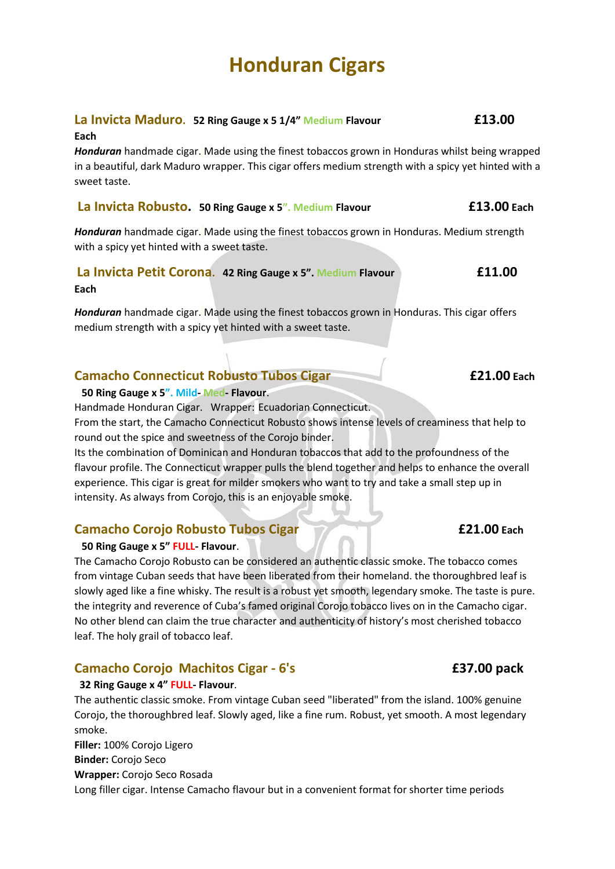# **La Invicta Maduro. 52 Ring Gauge x 5 1/4" Medium Flavour £13.00**

#### **Each**

*Honduran* handmade cigar. Made using the finest tobaccos grown in Honduras whilst being wrapped in a beautiful, dark Maduro wrapper. This cigar offers medium strength with a spicy yet hinted with a sweet taste.

#### **La Invicta Robusto. 50 Ring Gauge x 5". Medium Flavour £13.00 Each**

*Honduran* handmade cigar. Made using the finest tobaccos grown in Honduras. Medium strength with a spicy yet hinted with a sweet taste.

*Honduran* handmade cigar. Made using the finest tobaccos grown in Honduras. This cigar offers medium strength with a spicy yet hinted with a sweet taste.

## **Camacho Connecticut Robusto Tubos Cigar £21.00 Each**

**50 Ring Gauge x 5". Mild- Med- Flavour**.

Handmade Honduran Cigar. Wrapper: Ecuadorian Connecticut.

From the start, the Camacho Connecticut Robusto shows intense levels of creaminess that help to round out the spice and sweetness of the Corojo binder.

Its the combination of Dominican and Honduran tobaccos that add to the profoundness of the flavour profile. The Connecticut wrapper pulls the blend together and helps to enhance the overall experience. This cigar is great for milder smokers who want to try and take a small step up in intensity. As always from Corojo, this is an enjoyable smoke.

# **Camacho Corojo Robusto Tubos Cigar £21.00 Each**

#### **50 Ring Gauge x 5" FULL- Flavour**.

The Camacho Corojo Robusto can be considered an authentic classic smoke. The tobacco comes from vintage Cuban seeds that have been liberated from their homeland. the thoroughbred leaf is slowly aged like a fine whisky. The result is a robust yet smooth, legendary smoke. The taste is pure. the integrity and reverence of Cuba's famed original Corojo tobacco lives on in the Camacho cigar. No other blend can claim the true character and authenticity of history's most cherished tobacco leaf. The holy grail of tobacco leaf.

# **Camacho Corojo Machitos Cigar - 6's £37.00 pack**

#### **32 Ring Gauge x 4" FULL- Flavour**.

The authentic classic smoke. From vintage Cuban seed "liberated" from the island. 100% genuine Corojo, the thoroughbred leaf. Slowly aged, like a fine rum. Robust, yet smooth. A most legendary smoke.

**Filler:** 100% Corojo Ligero **Binder:** Corojo Seco **Wrapper:** Corojo Seco Rosada Long filler cigar. Intense Camacho flavour but in a convenient format for shorter time periods

**La Invicta Petit Corona. 42 Ring Gauge x 5". Medium Flavour £11.00 Each**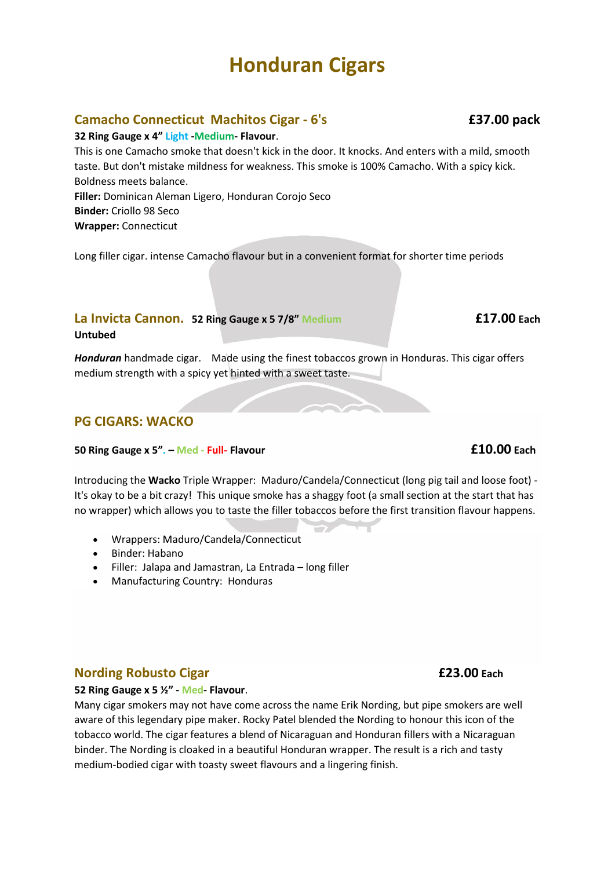# **Camacho Connecticut Machitos Cigar - 6's £37.00 pack**

#### **32 Ring Gauge x 4" Light -Medium- Flavour**.

This is one Camacho smoke that doesn't kick in the door. It knocks. And enters with a mild, smooth taste. But don't mistake mildness for weakness. This smoke is 100% Camacho. With a spicy kick. Boldness meets balance. **Filler:** Dominican Aleman Ligero, Honduran Corojo Seco **Binder:** Criollo 98 Seco **Wrapper:** Connecticut

Long filler cigar. intense Camacho flavour but in a convenient format for shorter time periods

## **La Invicta Cannon. 52 Ring Gauge x 5 7/8" Medium £17.00 Each**

#### **Untubed**

*Honduran* handmade cigar. Made using the finest tobaccos grown in Honduras. This cigar offers medium strength with a spicy yet hinted with a sweet taste.

## **PG CIGARS: WACKO**

#### **50 Ring Gauge x 5". – Med - Full- Flavour £10.00 Each**

Introducing the **Wacko** Triple Wrapper: Maduro/Candela/Connecticut (long pig tail and loose foot) - It's okay to be a bit crazy! This unique smoke has a shaggy foot (a small section at the start that has no wrapper) which allows you to taste the filler tobaccos before the first transition flavour happens.

- Wrappers: Maduro/Candela/Connecticut
- Binder: Habano
- Filler: Jalapa and Jamastran, La Entrada long filler
- Manufacturing Country: Honduras

# **Nording Robusto Cigar £23.00 Each**

**52 Ring Gauge x 5 ½" - Med- Flavour**.

Many cigar smokers may not have come across the name Erik Nording, but pipe smokers are well aware of this legendary pipe maker. Rocky Patel blended the Nording to honour this icon of the tobacco world. The cigar features a blend of Nicaraguan and Honduran fillers with a Nicaraguan binder. The Nording is cloaked in a beautiful Honduran wrapper. The result is a rich and tasty medium-bodied cigar with toasty sweet flavours and a lingering finish.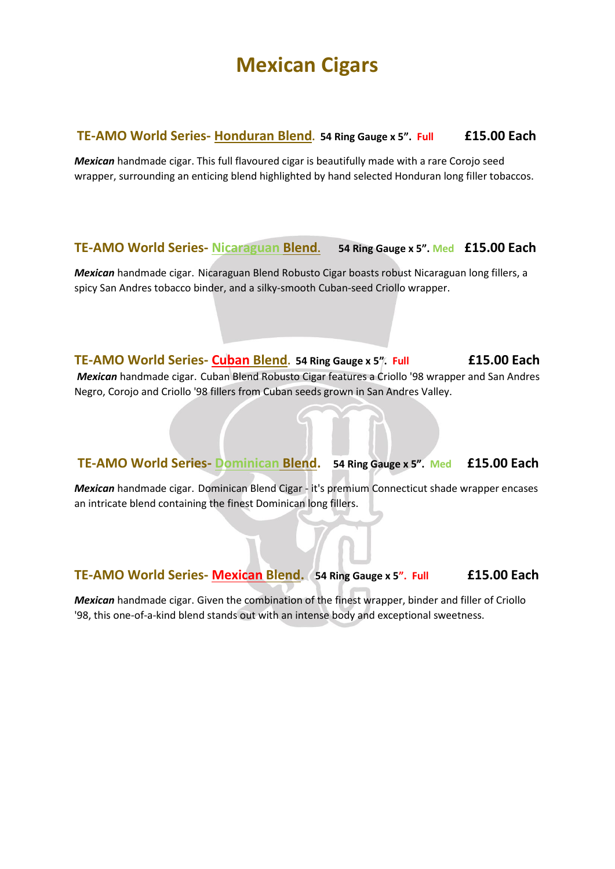# **Mexican Cigars**

## **TE-AMO World Series- Honduran Blend. 54 Ring Gauge x 5". Full £15.00 Each**

*Mexican* handmade cigar. This full flavoured cigar is beautifully made with a rare Corojo seed wrapper, surrounding an enticing blend highlighted by hand selected Honduran long filler tobaccos.

# **TE-AMO World Series- Nicaraguan Blend. 54 Ring Gauge x 5". Med £15.00 Each**

*Mexican* handmade cigar. Nicaraguan Blend Robusto Cigar boasts robust Nicaraguan long fillers, a spicy San Andres tobacco binder, and a silky-smooth Cuban-seed Criollo wrapper.

**TE-AMO World Series- Cuban Blend. 54 Ring Gauge x 5". Full £15.00 Each**  *Mexican* handmade cigar. Cuban Blend Robusto Cigar features a Criollo '98 wrapper and San Andres Negro, Corojo and Criollo '98 fillers from Cuban seeds grown in San Andres Valley.

# **TE-AMO World Series- Dominican Blend. 54 Ring Gauge x 5". Med £15.00 Each**

*Mexican* handmade cigar. Dominican Blend Cigar - it's premium Connecticut shade wrapper encases an intricate blend containing the finest Dominican long fillers.

# **TE-AMO World Series- Mexican Blend. 54 Ring Gauge x 5". Full £15.00 Each**

*Mexican* handmade cigar. Given the combination of the finest wrapper, binder and filler of Criollo '98, this one-of-a-kind blend stands out with an intense body and exceptional sweetness.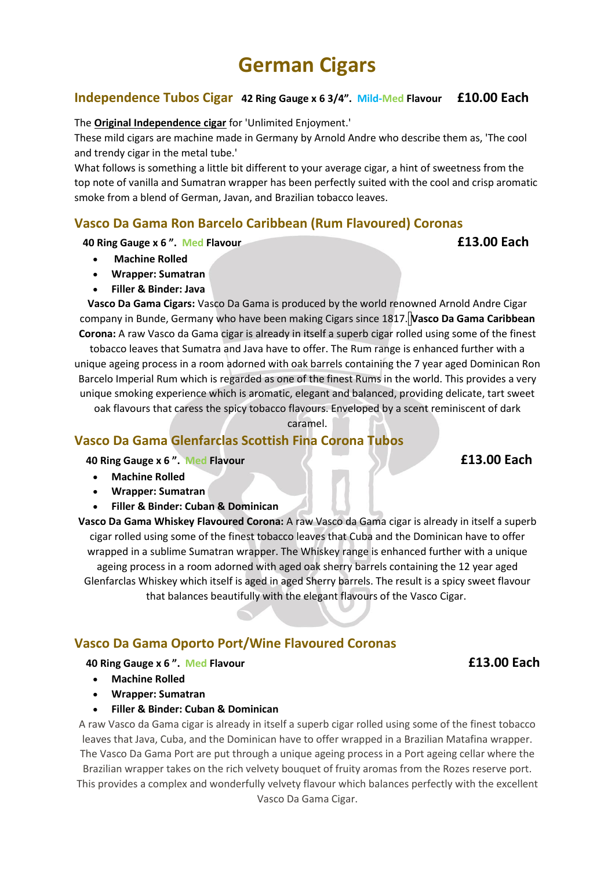# **German Cigars**

## **Independence Tubos Cigar 42 Ring Gauge x 6 3/4". Mild-Med Flavour £10.00 Each**

The **Original Independence cigar** for 'Unlimited Enjoyment.'

These mild cigars are machine made in Germany by Arnold Andre who describe them as, 'The cool and trendy cigar in the metal tube.'

What follows is something a little bit different to your average cigar, a hint of sweetness from the top note of vanilla and Sumatran wrapper has been perfectly suited with the cool and crisp aromatic smoke from a blend of German, Javan, and Brazilian tobacco leaves.

## **Vasco Da Gama Ron Barcelo Caribbean (Rum Flavoured) Coronas**

### **40 Ring Gauge x 6 ". Med Flavour £13.00 Each**

- **Machine Rolled**
- **Wrapper: Sumatran**
- **Filler & Binder: Java**

**Vasco Da Gama Cigars:** Vasco Da Gama is produced by the world renowned Arnold Andre Cigar company in Bunde, Germany who have been making Cigars since 1817. **Vasco Da Gama Caribbean Corona:** A raw Vasco da Gama cigar is already in itself a superb cigar rolled using some of the finest

tobacco leaves that Sumatra and Java have to offer. The Rum range is enhanced further with a unique ageing process in a room adorned with oak barrels containing the 7 year aged Dominican Ron Barcelo Imperial Rum which is regarded as one of the finest Rums in the world. This provides a very unique smoking experience which is aromatic, elegant and balanced, providing delicate, tart sweet

oak flavours that caress the spicy tobacco flavours. Enveloped by a scent reminiscent of dark

caramel.

## **Vasco Da Gama Glenfarclas Scottish Fina Corona Tubos**

 **40 Ring Gauge x 6 ". Med Flavour £13.00 Each**

- **Machine Rolled**
- **Wrapper: Sumatran**
- **Filler & Binder: Cuban & Dominican**

**Vasco Da Gama Whiskey Flavoured Corona:** A raw Vasco da Gama cigar is already in itself a superb cigar rolled using some of the finest tobacco leaves that Cuba and the Dominican have to offer wrapped in a sublime Sumatran wrapper. The Whiskey range is enhanced further with a unique ageing process in a room adorned with aged oak sherry barrels containing the 12 year aged Glenfarclas Whiskey which itself is aged in aged Sherry barrels. The result is a spicy sweet flavour that balances beautifully with the elegant flavours of the Vasco Cigar.

# **Vasco Da Gama Oporto Port/Wine Flavoured Coronas**

#### **40 Ring Gauge x 6 ". Med Flavour £13.00 Each**

- **Machine Rolled**
- **Wrapper: Sumatran**
- **Filler & Binder: Cuban & Dominican**

A raw Vasco da Gama cigar is already in itself a superb cigar rolled using some of the finest tobacco leaves that Java, Cuba, and the Dominican have to offer wrapped in a Brazilian Matafina wrapper. The Vasco Da Gama Port are put through a unique ageing process in a Port ageing cellar where the

Brazilian wrapper takes on the rich velvety bouquet of fruity aromas from the Rozes reserve port. This provides a complex and wonderfully velvety flavour which balances perfectly with the excellent Vasco Da Gama Cigar.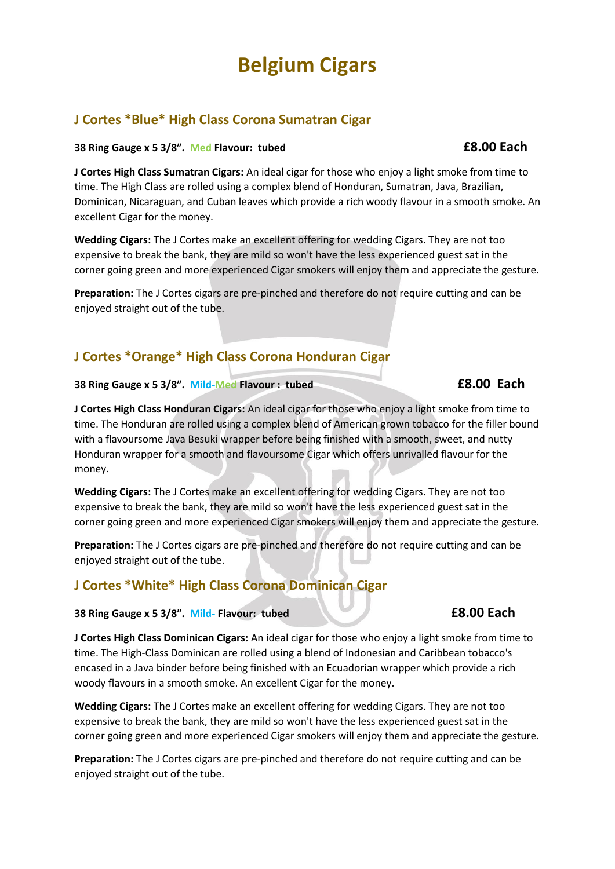# **Belgium Cigars**

# **J Cortes \*Blue\* High Class Corona Sumatran Cigar**

#### **38 Ring Gauge x 5 3/8". Med Flavour: tubed £8.00 Each**

**J Cortes High Class Sumatran Cigars:** An ideal cigar for those who enjoy a light smoke from time to time. The High Class are rolled using a complex blend of Honduran, Sumatran, Java, Brazilian, Dominican, Nicaraguan, and Cuban leaves which provide a rich woody flavour in a smooth smoke. An excellent Cigar for the money.

**Wedding Cigars:** The J Cortes make an excellent offering for wedding Cigars. They are not too expensive to break the bank, they are mild so won't have the less experienced guest sat in the corner going green and more experienced Cigar smokers will enjoy them and appreciate the gesture.

**Preparation:** The J Cortes cigars are pre-pinched and therefore do not require cutting and can be enjoyed straight out of the tube.

# **J Cortes \*Orange\* High Class Corona Honduran Cigar**

**38 Ring Gauge x 5 3/8". Mild-Med Flavour : tubed £8.00 Each**

**J Cortes High Class Honduran Cigars:** An ideal cigar for those who enjoy a light smoke from time to time. The Honduran are rolled using a complex blend of American grown tobacco for the filler bound with a flavoursome Java Besuki wrapper before being finished with a smooth, sweet, and nutty Honduran wrapper for a smooth and flavoursome Cigar which offers unrivalled flavour for the money.

**Wedding Cigars:** The J Cortes make an excellent offering for wedding Cigars. They are not too expensive to break the bank, they are mild so won't have the less experienced guest sat in the corner going green and more experienced Cigar smokers will enjoy them and appreciate the gesture.

**Preparation:** The J Cortes cigars are pre-pinched and therefore do not require cutting and can be enjoyed straight out of the tube.

# **J Cortes \*White\* High Class Corona Dominican Cigar**

### **38 Ring Gauge x 5 3/8". Mild- Flavour: tubed £8.00 Each**

**J Cortes High Class Dominican Cigars:** An ideal cigar for those who enjoy a light smoke from time to time. The High-Class Dominican are rolled using a blend of Indonesian and Caribbean tobacco's encased in a Java binder before being finished with an Ecuadorian wrapper which provide a rich woody flavours in a smooth smoke. An excellent Cigar for the money.

**Wedding Cigars:** The J Cortes make an excellent offering for wedding Cigars. They are not too expensive to break the bank, they are mild so won't have the less experienced guest sat in the corner going green and more experienced Cigar smokers will enjoy them and appreciate the gesture.

**Preparation:** The J Cortes cigars are pre-pinched and therefore do not require cutting and can be enjoyed straight out of the tube.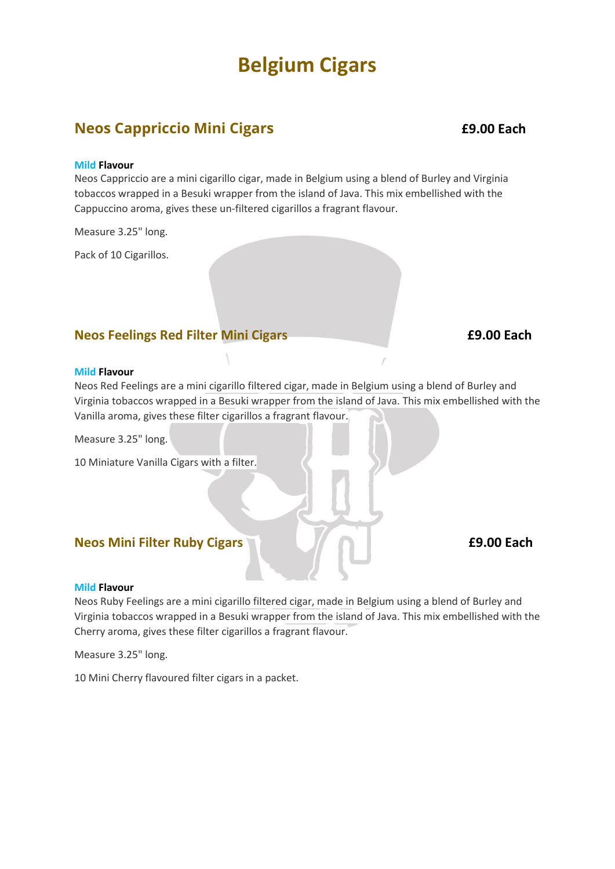# **Belgium Cigars**

# **Neos Cappriccio Mini Cigars £9.00 Each**

#### **Mild Flavour**

Neos Cappriccio are a mini cigarillo cigar, made in Belgium using a blend of Burley and Virginia tobaccos wrapped in a Besuki wrapper from the island of Java. This mix embellished with the Cappuccino aroma, gives these un-filtered cigarillos a fragrant flavour.

Measure 3.25" long.

Pack of 10 Cigarillos.

### **Neos Feelings Red Filter Mini Cigars <b>19.00 Each £9.00 Each**

#### **Mild Flavour**

Neos Red Feelings are a mini cigarillo filtered cigar, made in Belgium using a blend of Burley and Virginia tobaccos wrapped in a Besuki wrapper from the island of Java. This mix embellished with the Vanilla aroma, gives these filter cigarillos a fragrant flavour.

Measure 3.25" long.

10 Miniature Vanilla Cigars with a filter.

#### **Neos Mini Filter Ruby Cigars <b>19.00 Each E9.00 Each**

#### **Mild Flavour**

Neos Ruby Feelings are a mini cigarillo filtered cigar, made in Belgium using a blend of Burley and Virginia tobaccos wrapped in a Besuki wrapper from the island of Java. This mix embellished with the Cherry aroma, gives these filter cigarillos a fragrant flavour.

Measure 3.25" long.

10 Mini Cherry flavoured filter cigars in a packet.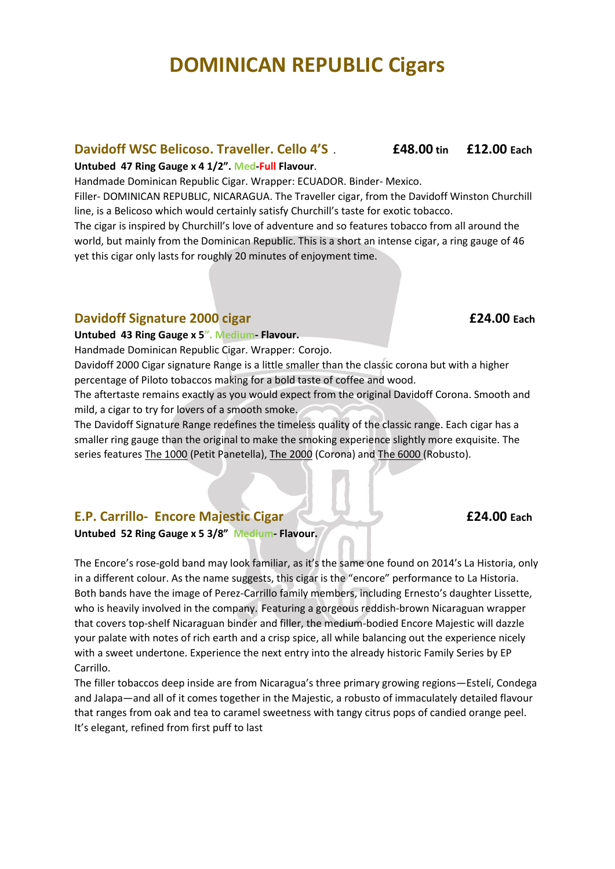## **Davidoff WSC Belicoso. Traveller. Cello 4'S** . **£48.00 tin £12.00 Each**

#### **Untubed 47 Ring Gauge x 4 1/2". Med-Full Flavour**.

Handmade Dominican Republic Cigar. Wrapper: ECUADOR. Binder- Mexico.

Filler- DOMINICAN REPUBLIC, NICARAGUA. The Traveller cigar, from the Davidoff Winston Churchill line, is a Belicoso which would certainly satisfy Churchill's taste for exotic tobacco.

The cigar is inspired by Churchill's love of adventure and so features tobacco from all around the world, but mainly from the Dominican Republic. This is a short an intense cigar, a ring gauge of 46 yet this cigar only lasts for roughly 20 minutes of enjoyment time.

### **Davidoff Signature 2000 cigar £24.00 Each**

#### **Untubed 43 Ring Gauge x 5". Medium- Flavour.**

Handmade Dominican Republic Cigar. Wrapper: Corojo.

Davidoff 2000 Cigar signature Range is a little smaller than the classic corona but with a higher percentage of Piloto tobaccos making for a bold taste of coffee and wood.

The aftertaste remains exactly as you would expect from the original Davidoff Corona. Smooth and mild, a cigar to try for lovers of a smooth smoke.

The Davidoff Signature Range redefines the timeless quality of the classic range. Each cigar has a smaller ring gauge than the original to make the smoking experience slightly more exquisite. The series features [The 1000](https://www.havanahouse.co.uk/product/davidoff-1000-cigar/) (Petit Panetella), [The 2000](https://www.havanahouse.co.uk/product/davidoff-2000-cigar/) (Corona) and [The 6000](https://www.havanahouse.co.uk/product/davidoff-6000-cigar/) (Robusto).

# **E.P. Carrillo- Encore Majestic Cigar <b>1999 E24.00 E24.00 Each**

**Untubed 52 Ring Gauge x 5 3/8" Medium- Flavour.**

The Encore's rose-gold band may look familiar, as it's the same one found on 2014's La Historia, only in a different colour. As the name suggests, this cigar is the "encore" performance to La Historia. Both bands have the image of Perez-Carrillo family members, including Ernesto's daughter Lissette, who is heavily involved in the company. Featuring a gorgeous reddish-brown Nicaraguan wrapper that covers top-shelf Nicaraguan binder and filler, the medium-bodied Encore Majestic will dazzle your palate with notes of rich earth and a crisp spice, all while balancing out the experience nicely with a sweet undertone. Experience the next entry into the already historic Family Series by EP Carrillo.

The filler tobaccos deep inside are from Nicaragua's three primary growing regions—Estelí, Condega and Jalapa—and all of it comes together in the Majestic, a robusto of immaculately detailed flavour that ranges from oak and tea to caramel sweetness with tangy citrus pops of candied orange peel. It's elegant, refined from first puff to last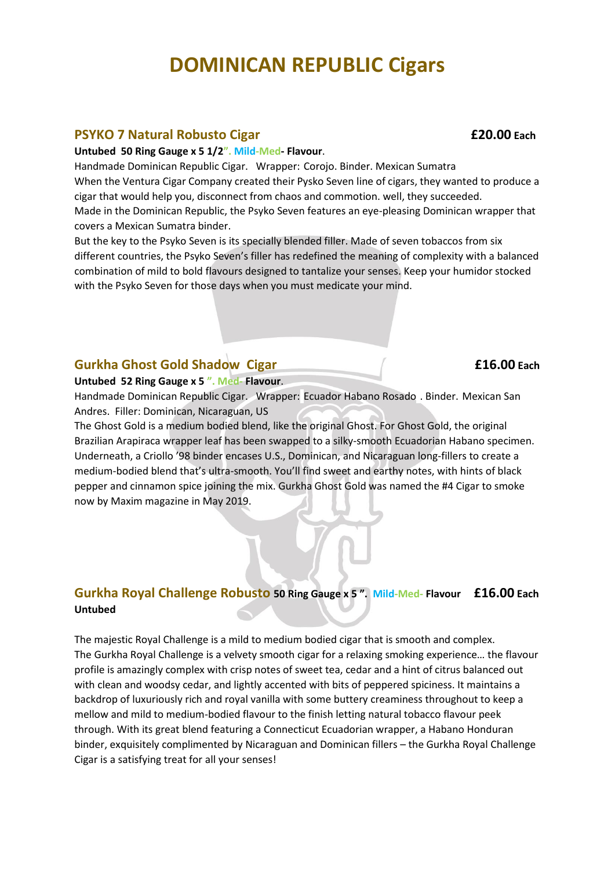#### **PSYKO 7 Natural Robusto Cigar £20.00 Each**

#### **Untubed 50 Ring Gauge x 5 1/2". Mild-Med- Flavour**.

Handmade Dominican Republic Cigar. Wrapper: Corojo. Binder. Mexican Sumatra When the Ventura Cigar Company created their Pysko Seven line of cigars, they wanted to produce a cigar that would help you, disconnect from chaos and commotion. well, they succeeded. Made in the Dominican Republic, the Psyko Seven features an eye-pleasing Dominican wrapper that covers a Mexican Sumatra binder.

But the key to the Psyko Seven is its specially blended filler. Made of seven tobaccos from six different countries, the Psyko Seven's filler has redefined the meaning of complexity with a balanced combination of mild to bold flavours designed to tantalize your senses. Keep your humidor stocked with the Psyko Seven for those days when you must medicate your mind.

### **Gurkha Ghost Gold Shadow Cigar £16.00 Each**

#### **Untubed 52 Ring Gauge x 5 ". Med- Flavour**.

Handmade Dominican Republic Cigar. Wrapper: Ecuador Habano Rosado . Binder. Mexican San Andres. Filler: Dominican, Nicaraguan, US

The Ghost Gold is a medium bodied blend, like the original Ghost. For Ghost Gold, the original Brazilian Arapiraca wrapper leaf has been swapped to a silky-smooth Ecuadorian Habano specimen. Underneath, a Criollo '98 binder encases U.S., Dominican, and Nicaraguan long-fillers to create a medium-bodied blend that's ultra-smooth. You'll find sweet and earthy notes, with hints of black pepper and cinnamon spice joining the mix. Gurkha Ghost Gold was named the #4 Cigar to smoke now by Maxim magazine in May 2019.

# **Gurkha Royal Challenge Robusto 50 Ring Gauge x 5 ". Mild-Med- Flavour £16.00 Each Untubed**

The majestic Royal Challenge is a mild to medium bodied cigar that is smooth and complex. The Gurkha Royal Challenge is a velvety smooth cigar for a relaxing smoking experience… the flavour profile is amazingly complex with crisp notes of sweet tea, cedar and a hint of citrus balanced out with clean and woodsy cedar, and lightly accented with bits of peppered spiciness. It maintains a backdrop of luxuriously rich and royal vanilla with some buttery creaminess throughout to keep a mellow and mild to medium-bodied flavour to the finish letting natural tobacco flavour peek through. With its great blend featuring a Connecticut Ecuadorian wrapper, a Habano Honduran binder, exquisitely complimented by Nicaraguan and Dominican fillers – the Gurkha Royal Challenge Cigar is a satisfying treat for all your senses!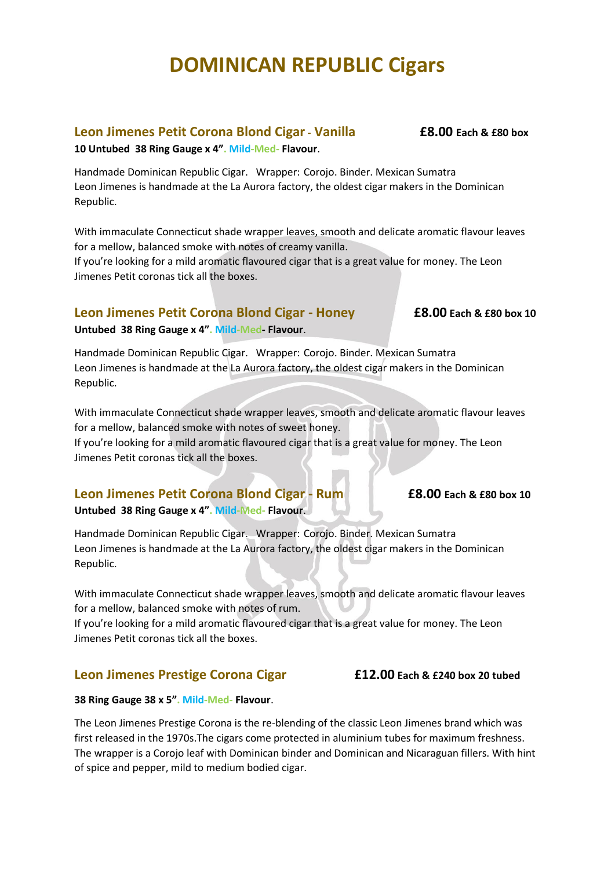## **Leon Jimenes Petit Corona Blond Cigar- Vanilla £8.00 Each & £80 box**

**10 Untubed 38 Ring Gauge x 4". Mild-Med- Flavour**.

Handmade Dominican Republic Cigar. Wrapper: Corojo. Binder. Mexican Sumatra Leon Jimenes is handmade at the La Aurora factory, the oldest cigar makers in the Dominican Republic.

With immaculate Connecticut shade wrapper leaves, smooth and delicate aromatic flavour leaves for a mellow, balanced smoke with notes of creamy vanilla.

If you're looking for a mild aromatic flavoured cigar that is a great value for money. The Leon Jimenes Petit coronas tick all the boxes.

## **Leon Jimenes Petit Corona Blond Cigar - Honey £8.00 Each & £80 box 10**

**Untubed 38 Ring Gauge x 4". Mild-Med- Flavour**.

Handmade Dominican Republic Cigar. Wrapper: Corojo. Binder. Mexican Sumatra Leon Jimenes is handmade at the La Aurora factory, the oldest cigar makers in the Dominican Republic.

With immaculate Connecticut shade wrapper leaves, smooth and delicate aromatic flavour leaves for a mellow, balanced smoke with notes of sweet honey.

If you're looking for a mild aromatic flavoured cigar that is a great value for money. The Leon Jimenes Petit coronas tick all the boxes.

# **Leon Jimenes Petit Corona Blond Cigar - Rum £8.00 Each & £80 box 10**

**Untubed 38 Ring Gauge x 4". Mild-Med- Flavour**.

Handmade Dominican Republic Cigar. Wrapper: Corojo. Binder. Mexican Sumatra Leon Jimenes is handmade at the La Aurora factory, the oldest cigar makers in the Dominican Republic.

With immaculate Connecticut shade wrapper leaves, smooth and delicate aromatic flavour leaves for a mellow, balanced smoke with notes of rum.

If you're looking for a mild aromatic flavoured cigar that is a great value for money. The Leon Jimenes Petit coronas tick all the boxes.

# **Leon Jimenes Prestige Corona Cigar £12.00 Each & £240 box 20 tubed**

#### **38 Ring Gauge 38 x 5". Mild-Med- Flavour**.

The Leon Jimenes Prestige Corona is the re-blending of the classic Leon Jimenes brand which was first released in the 1970s.The cigars come protected in aluminium tubes for maximum freshness. The wrapper is a Corojo leaf with Dominican binder and Dominican and Nicaraguan fillers. With hint of spice and pepper, mild to medium bodied cigar.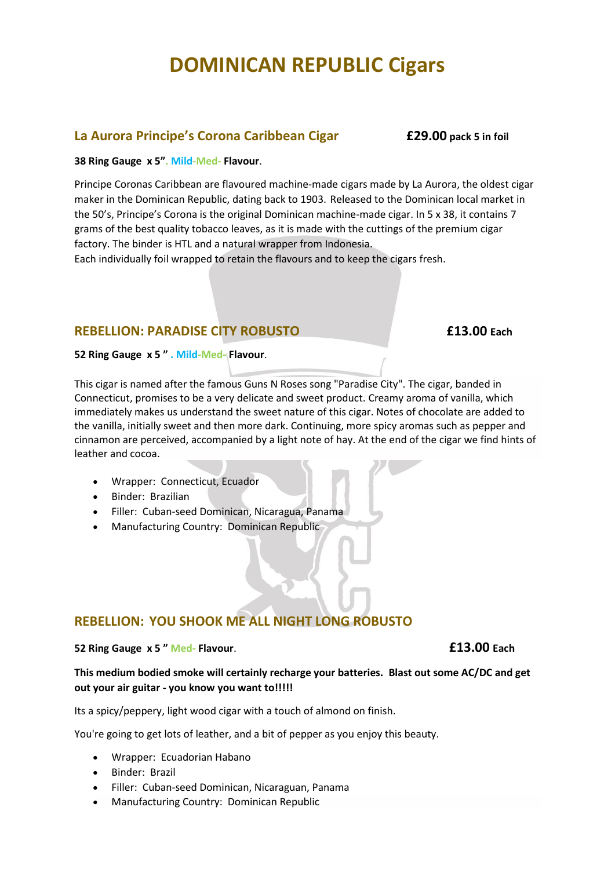## **La Aurora Principe's Corona Caribbean Cigar £29.00 pack 5 in foil**

#### **38 Ring Gauge x 5". Mild-Med- Flavour**.

Principe Coronas Caribbean are flavoured machine-made cigars made by La Aurora, the oldest cigar maker in the Dominican Republic, dating back to 1903. Released to the Dominican local market in the 50's, Principe's Corona is the original Dominican machine-made cigar. In 5 x 38, it contains 7 grams of the best quality tobacco leaves, as it is made with the cuttings of the premium cigar factory. The binder is HTL and a natural wrapper from Indonesia.

Each individually foil wrapped to retain the flavours and to keep the cigars fresh.

### **REBELLION: PARADISE CITY ROBUSTO £13.00 Each**

#### **52 Ring Gauge x 5 " . Mild-Med- Flavour**.

This cigar is named after the famous Guns N Roses song "Paradise City". The cigar, banded in Connecticut, promises to be a very delicate and sweet product. Creamy aroma of vanilla, which immediately makes us understand the sweet nature of this cigar. Notes of chocolate are added to the vanilla, initially sweet and then more dark. Continuing, more spicy aromas such as pepper and cinnamon are perceived, accompanied by a light note of hay. At the end of the cigar we find hints of leather and cocoa.

- Wrapper: Connecticut, Ecuador
- Binder: Brazilian
- Filler: Cuban-seed Dominican, Nicaragua, Panama
- Manufacturing Country: Dominican Republic

# **REBELLION: YOU SHOOK ME ALL NIGHT LONG ROBUSTO**

#### **52 Ring Gauge x 5 " Med- Flavour**. **£13.00 Each**

#### **This medium bodied smoke will certainly recharge your batteries. Blast out some AC/DC and get out your air guitar - you know you want to!!!!!**

Its a spicy/peppery, light wood cigar with a touch of almond on finish.

You're going to get lots of leather, and a bit of pepper as you enjoy this beauty.

- Wrapper: Ecuadorian Habano
- Binder: Brazil
- Filler: Cuban-seed Dominican, Nicaraguan, Panama
- Manufacturing Country: Dominican Republic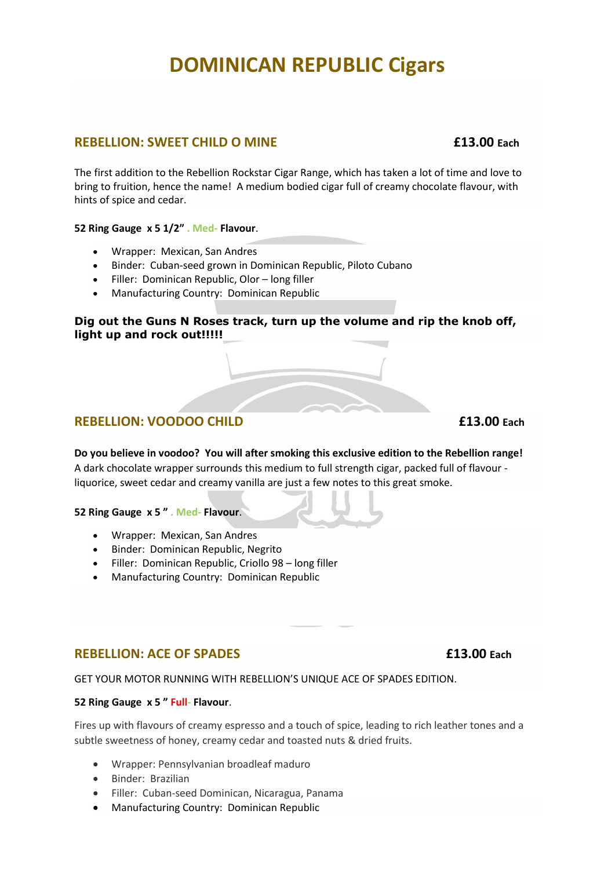### **REBELLION: SWEET CHILD O MINE**   $f(13.00 \text{ } \text{Each})$

The first addition to the Rebellion Rockstar Cigar Range, which has taken a lot of time and love to bring to fruition, hence the name! A medium bodied cigar full of creamy chocolate flavour, with hints of spice and cedar.

**52 Ring Gauge x 5 1/2" . Med- Flavour**.

- Wrapper: Mexican, San Andres
- Binder: Cuban-seed grown in Dominican Republic, Piloto Cubano
- Filler: Dominican Republic, Olor long filler
- Manufacturing Country: Dominican Republic

#### **Dig out the Guns N Roses track, turn up the volume and rip the knob off, light up and rock out!!!!!**

# **REBELLION: VOODOO CHILD E13.00** Each

**Do you believe in voodoo? You will after smoking this exclusive edition to the Rebellion range!**  A dark chocolate wrapper surrounds this medium to full strength cigar, packed full of flavour liquorice, sweet cedar and creamy vanilla are just a few notes to this great smoke.

**52 Ring Gauge x 5 " . Med- Flavour**.

- Wrapper: Mexican, San Andres
- Binder: Dominican Republic, Negrito
- Filler: Dominican Republic, Criollo 98 long filler
- Manufacturing Country: Dominican Republic

## **REBELLION: ACE OF SPADES £13.00 Each**

GET YOUR MOTOR RUNNING WITH REBELLION'S UNIQUE ACE OF SPADES EDITION.

#### **52 Ring Gauge x 5 " Full- Flavour**.

Fires up with flavours of creamy espresso and a touch of spice, leading to rich leather tones and a subtle sweetness of honey, creamy cedar and toasted nuts & dried fruits.

- Wrapper: Pennsylvanian broadleaf maduro
- Binder: Brazilian
- Filler: Cuban-seed Dominican, Nicaragua, Panama
- Manufacturing Country: Dominican Republic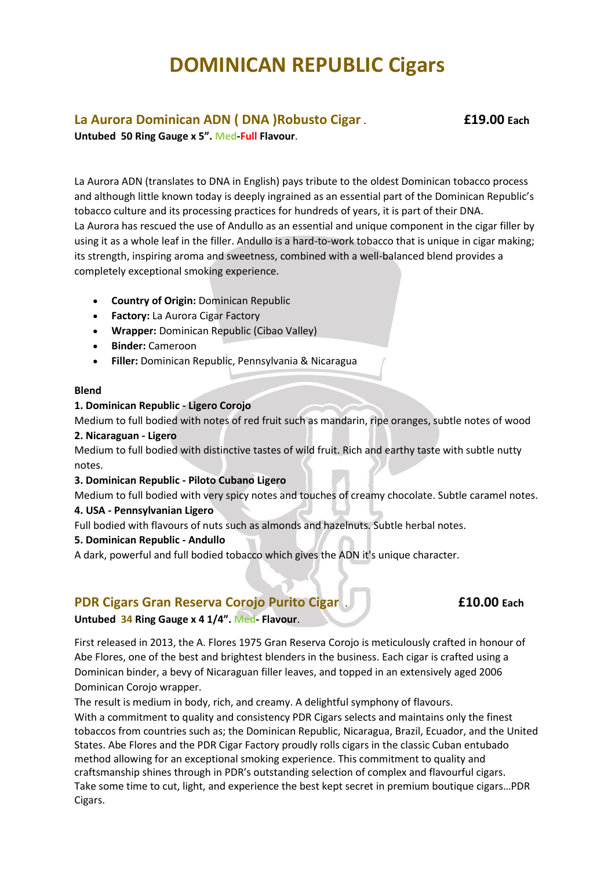# **La Aurora Dominican ADN ( DNA )Robusto Cigar** . **£19.00 Each**

**Untubed 50 Ring Gauge x 5". Med-Full Flavour**.

La Aurora ADN (translates to DNA in English) pays tribute to the oldest Dominican tobacco process and although little known today is deeply ingrained as an essential part of the Dominican Republic's tobacco culture and its processing practices for hundreds of years, it is part of their DNA. La Aurora has rescued the use of Andullo as an essential and unique component in the cigar filler by using it as a whole leaf in the filler. Andullo is a hard-to-work tobacco that is unique in cigar making; its strength, inspiring aroma and sweetness, combined with a well-balanced blend provides a completely exceptional smoking experience.

- **Country of Origin:** Dominican Republic
- **Factory:** La Aurora Cigar Factory
- **Wrapper:** Dominican Republic (Cibao Valley)
- **Binder:** Cameroon
- **Filler:** Dominican Republic, Pennsylvania & Nicaragua

#### **Blend**

#### **1. Dominican Republic - Ligero Corojo**

Medium to full bodied with notes of red fruit such as mandarin, ripe oranges, subtle notes of wood

#### **2. Nicaraguan - Ligero**

Medium to full bodied with distinctive tastes of wild fruit. Rich and earthy taste with subtle nutty notes.

#### **3. Dominican Republic - Piloto Cubano Ligero**

Medium to full bodied with very spicy notes and touches of creamy chocolate. Subtle caramel notes.

#### **4. USA - Pennsylvanian Ligero**

Full bodied with flavours of nuts such as almonds and hazelnuts. Subtle herbal notes.

#### **5. Dominican Republic - Andullo**

A dark, powerful and full bodied tobacco which gives the ADN it's unique character.

### **PDR Cigars Gran Reserva Corojo Purito Cigar** . **£10.00 Each**

**Untubed 34 Ring Gauge x 4 1/4". Med- Flavour**.

First released in 2013, the A. Flores 1975 Gran Reserva Corojo is meticulously crafted in honour of Abe Flores, one of the best and brightest blenders in the business. Each cigar is crafted using a Dominican binder, a bevy of Nicaraguan filler leaves, and topped in an extensively aged 2006 Dominican Corojo wrapper.

The result is medium in body, rich, and creamy. A delightful symphony of flavours.

With a commitment to quality and consistency PDR Cigars selects and maintains only the finest tobaccos from countries such as; the Dominican Republic, Nicaragua, Brazil, Ecuador, and the United States. Abe Flores and the PDR Cigar Factory proudly rolls cigars in the classic Cuban entubado method allowing for an exceptional smoking experience. This commitment to quality and craftsmanship shines through in PDR's outstanding selection of complex and flavourful cigars. Take some time to cut, light, and experience the best kept secret in premium boutique cigars…PDR Cigars.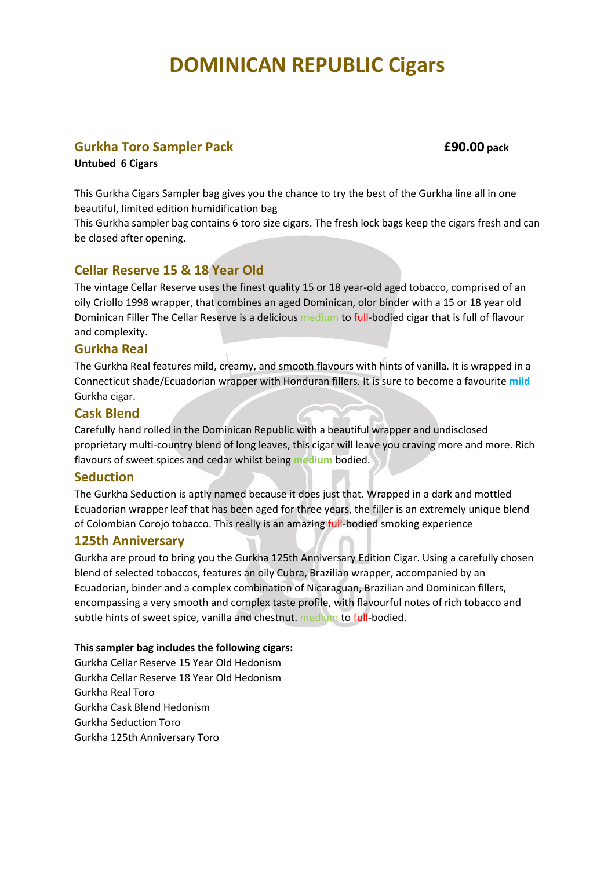### **Gurkha Toro Sampler Pack £90.00 pack**

#### **Untubed 6 Cigars**

This Gurkha Cigars Sampler bag gives you the chance to try the best of the Gurkha line all in one beautiful, limited edition humidification bag

This Gurkha sampler bag contains 6 toro size cigars. The fresh lock bags keep the cigars fresh and can be closed after opening.

### **Cellar Reserve 15 & 18 Year Old**

The vintage Cellar Reserve uses the finest quality 15 or 18 year-old aged tobacco, comprised of an oily Criollo 1998 wrapper, that combines an aged Dominican, olor binder with a 15 or 18 year old Dominican Filler The Cellar Reserve is a delicious medium to full-bodied cigar that is full of flavour and complexity.

#### **Gurkha Real**

The Gurkha Real features mild, creamy, and smooth flavours with hints of vanilla. It is wrapped in a Connecticut shade/Ecuadorian wrapper with Honduran fillers. It is sure to become a favourite **mild**  Gurkha cigar.

#### **Cask Blend**

Carefully hand rolled in the Dominican Republic with a beautiful wrapper and undisclosed proprietary multi-country blend of long leaves, this cigar will leave you craving more and more. Rich flavours of sweet spices and cedar whilst being **medium** bodied.

#### **Seduction**

The Gurkha Seduction is aptly named because it does just that. Wrapped in a dark and mottled Ecuadorian wrapper leaf that has been aged for three years, the filler is an extremely unique blend of Colombian Corojo tobacco. This really is an amazing full-bodied smoking experience

#### **125th Anniversary**

Gurkha are proud to bring you the Gurkha 125th Anniversary Edition Cigar. Using a carefully chosen blend of selected tobaccos, features an oily Cubra, Brazilian wrapper, accompanied by an Ecuadorian, binder and a complex combination of Nicaraguan, Brazilian and Dominican fillers, encompassing a very smooth and complex taste profile, with flavourful notes of rich tobacco and subtle hints of sweet spice, vanilla and chestnut. medium to full-bodied.

#### **This sampler bag includes the following cigars:**

Gurkha Cellar Reserve 15 Year Old Hedonism Gurkha Cellar Reserve 18 Year Old Hedonism Gurkha Real Toro Gurkha Cask Blend Hedonism Gurkha Seduction Toro Gurkha 125th Anniversary Toro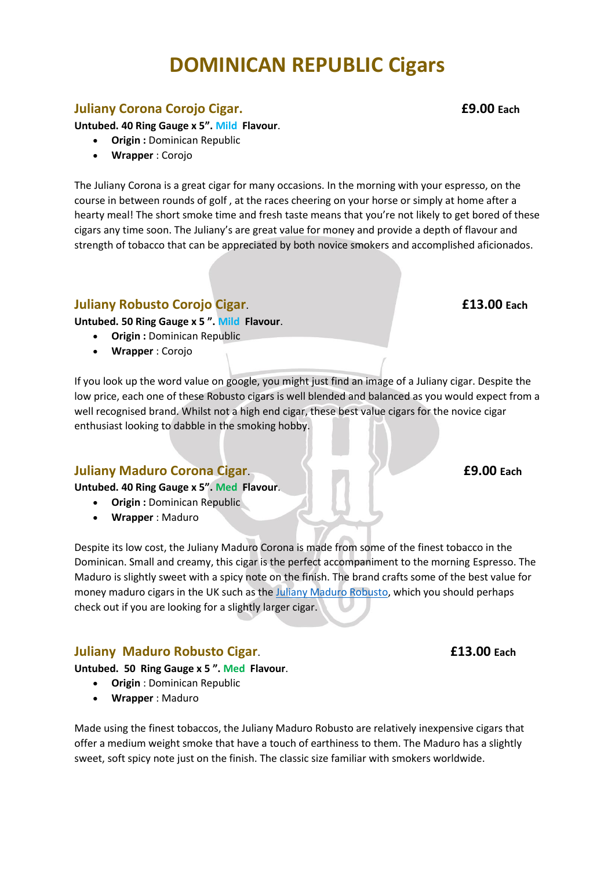# **Juliany Corona Corojo Cigar. £9.00 Each**

**Untubed. 40 Ring Gauge x 5". Mild Flavour**.

- **Origin :** Dominican Republic
- **Wrapper** : Corojo

The Juliany Corona is a great cigar for many occasions. In the morning with your espresso, on the course in between rounds of golf , at the races cheering on your horse or simply at home after a hearty meal! The short smoke time and fresh taste means that you're not likely to get bored of these cigars any time soon. The Juliany's are great value for money and provide a depth of flavour and strength of tobacco that can be appreciated by both novice smokers and accomplished aficionados.

## **Juliany Robusto Corojo Cigar**. **£13.00 Each**

**Untubed. 50 Ring Gauge x 5 ". Mild Flavour**.

- **Origin :** Dominican Republic
- **Wrapper** : Corojo

If you look up the word value on google, you might just find an image of a Juliany cigar. Despite the low price, each one of these Robusto cigars is well blended and balanced as you would expect from a well recognised brand. Whilst not a high end cigar, these best value cigars for the novice cigar enthusiast looking to dabble in the smoking hobby.

### **Juliany Maduro Corona Cigar**. **£9.00 Each**

**Untubed. 40 Ring Gauge x 5". Med Flavour**.

- **Origin :** Dominican Republic
	- **Wrapper** : Maduro

Despite its low cost, the Juliany Maduro Corona is made from some of the finest tobacco in the Dominican. Small and creamy, this cigar is the perfect accompaniment to the morning Espresso. The Maduro is slightly sweet with a spicy note on the finish. The brand crafts some of the best value for money maduro cigars in the UK such as the [Juliany Maduro Robusto,](https://www.havanahouse.co.uk/product/juliany-maduro-robusto/) which you should perhaps check out if you are looking for a slightly larger cigar.

## **Juliany Maduro Robusto Cigar**. **£13.00 Each**

**Untubed. 50 Ring Gauge x 5 ". Med Flavour**.

- **Origin** : Dominican Republic
- **Wrapper** : Maduro

Made using the finest tobaccos, the Juliany Maduro Robusto are relatively inexpensive cigars that offer a medium weight smoke that have a touch of earthiness to them. The Maduro has a slightly sweet, soft spicy note just on the finish. The classic size familiar with smokers worldwide.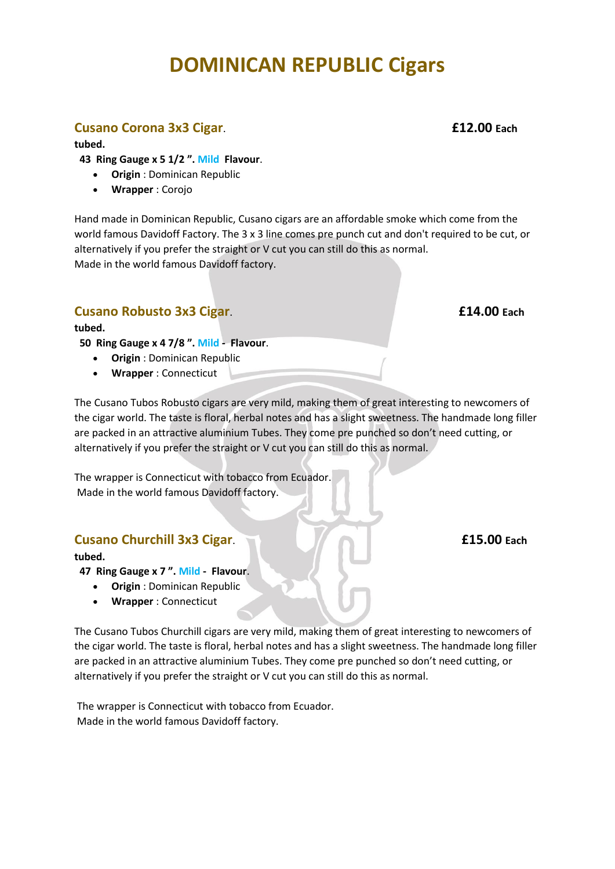## **Cusano Corona 3x3 Cigar**. **£12.00 Each**

**tubed.**

 **43 Ring Gauge x 5 1/2 ". Mild Flavour**.

- **Origin** : Dominican Republic
- **Wrapper** : Corojo

Hand made in Dominican Republic, Cusano cigars are an affordable smoke which come from the world famous Davidoff Factory. The 3 x 3 line comes pre punch cut and don't required to be cut, or alternatively if you prefer the straight or V cut you can still do this as normal. Made in the world famous Davidoff factory.

# **Cusano Robusto 3x3 Cigar**. **£14.00 Each**

**tubed.**

 **50 Ring Gauge x 4 7/8 ". Mild - Flavour**.

- **Origin** : Dominican Republic
- **Wrapper** : Connecticut

The Cusano Tubos Robusto cigars are very mild, making them of great interesting to newcomers of the cigar world. The taste is floral, herbal notes and has a slight sweetness. The handmade long filler are packed in an attractive aluminium Tubes. They come pre punched so don't need cutting, or alternatively if you prefer the straight or V cut you can still do this as normal.

The wrapper is Connecticut with tobacco from Ecuador. Made in the world famous Davidoff factory.

# **Cusano Churchill 3x3 Cigar**. **£15.00 Each**

**tubed.**

- **47 Ring Gauge x 7 ". Mild - Flavour**.
	- **Origin** : Dominican Republic
	- **Wrapper** : Connecticut

The Cusano Tubos Churchill cigars are very mild, making them of great interesting to newcomers of the cigar world. The taste is floral, herbal notes and has a slight sweetness. The handmade long filler are packed in an attractive aluminium Tubes. They come pre punched so don't need cutting, or alternatively if you prefer the straight or V cut you can still do this as normal.

The wrapper is Connecticut with tobacco from Ecuador. Made in the world famous Davidoff factory.